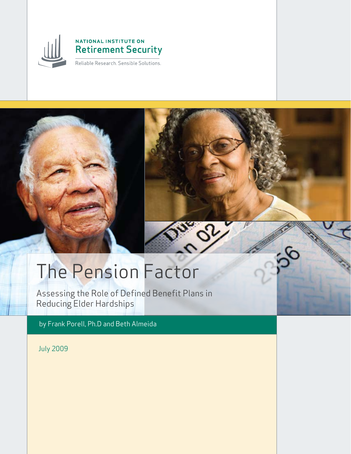

# NATIONAL INSTITUTE ON **Retirement Security**

Reliable Research. Sensible Solutions.

# The Pension Factor

Assessing the Role of Defined Benefit Plans in **Reducing Elder Hardships** 

by Frank Porell, Ph.D and Beth Almeida

**July 2009**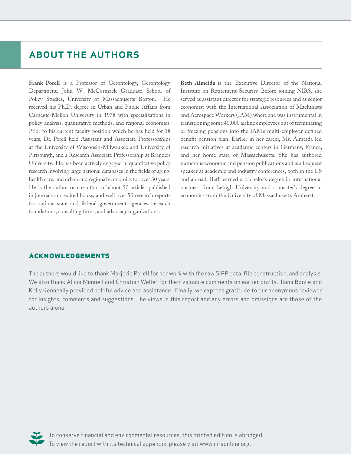# **ABOUT THE AUTHORS**

**Frank Porell** is a Professor of Gerontology, Gerontology Department, John W. McCormack Graduate School of Policy Studies, University of Massachusetts Boston. He received his Ph.D. degree in Urban and Public Affairs from Carnegie-Mellon University in 1978 with specializations in policy analysis, quantitative methods, and regional economics. Prior to his current faculty position which he has held for 18 years, Dr. Porell held Assistant and Associate Professorships at the University of Wisconsin-Milwaukee and University of Pittsburgh, and a Research Associate Professorship at Brandeis University. He has been actively engaged in quantitative policy research involving large national databases in the fields of aging, health care, and urban and regional economics for over 30 years. He is the author or co-author of about 50 articles published in journals and edited books, and well over 50 research reports for various state and federal government agencies, research foundations, consulting firms, and advocacy organizations.

**Beth Almeida** is the Executive Director of the National Institute on Retirement Security. Before joining NIRS, she served as assistant director for strategic resources and as senior economist with the International Association of Machinists and Aerospace Workers (IAM) where she was instrumental in transitioning some 40,000 airline employees out of terminating or freezing pensions into the IAM's multi-employer defined benefit pension plan. Earlier in her career, Ms. Almeida led research initiatives at academic centers in Germany, France, and her home state of Massachusetts. She has authored numerous economic and pension publications and is a frequent speaker at academic and industry conferences, both in the US and abroad. Beth earned a bachelor's degree in international business from Lehigh University and a master's degree in economics from the University of Massachusetts Amherst.

#### **ACKNOWLEDGEMENTS**

The authors would like to thank Marjorie Porell for her work with the raw SIPP data, file construction, and analysis. We also thank Alicia Munnell and Christian Weller for their valuable comments on earlier drafts. Ilana Boivie and Kelly Kenneally provided helpful advice and assistance. Finally, we express gratitude to our anonymous reviewer for insights, comments and suggestions. The views in this report and any errors and omissions are those of the authors alone.

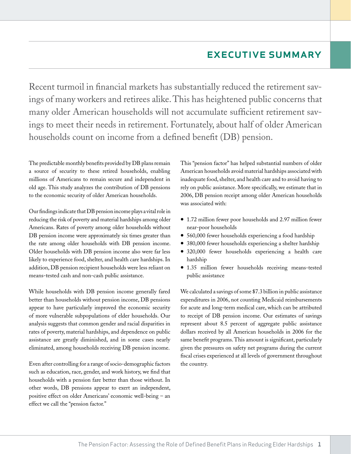# **EXECUTIVE SUMMARY**

Recent turmoil in financial markets has substantially reduced the retirement savings of many workers and retirees alike. This has heightened public concerns that many older American households will not accumulate sufficient retirement savings to meet their needs in retirement. Fortunately, about half of older American households count on income from a defined benefit (DB) pension.

The predictable monthly benefits provided by DB plans remain a source of security to these retired households, enabling millions of Americans to remain secure and independent in old age. This study analyzes the contribution of DB pensions to the economic security of older American households.

Our findings indicate that DB pension income plays a vital role in reducing the risk of poverty and material hardships among older Americans. Rates of poverty among older households without DB pension income were approximately six times greater than the rate among older households with DB pension income. Older households with DB pension income also were far less likely to experience food, shelter, and health care hardships. In addition, DB pension recipient households were less reliant on means-tested cash and non-cash public assistance.

While households with DB pension income generally fared better than households without pension income, DB pensions appear to have particularly improved the economic security of more vulnerable subpopulations of elder households. Our analysis suggests that common gender and racial disparities in rates of poverty, material hardships, and dependence on public assistance are greatly diminished, and in some cases nearly eliminated, among households receiving DB pension income.

Even after controlling for a range of socio-demographic factors such as education, race, gender, and work history, we find that households with a pension fare better than those without. In other words, DB pensions appear to exert an independent, positive effect on older Americans' economic well-being – an effect we call the "pension factor."

This "pension factor" has helped substantial numbers of older American households avoid material hardships associated with inadequate food, shelter, and health care and to avoid having to rely on public assistance. More specifically, we estimate that in 2006, DB pension receipt among older American households was associated with:

- v 1.72 million fewer poor households and 2.97 million fewer near-poor households
- 560,000 fewer households experiencing a food hardship
- 380,000 fewer households experiencing a shelter hardship
- v 320,000 fewer households experiencing a health care hardship
- v 1.35 million fewer households receiving means-tested public assistance

We calculated a savings of some \$7.3 billion in public assistance expenditures in 2006, not counting Medicaid reimbursements for acute and long-term medical care, which can be attributed to receipt of DB pension income. Our estimates of savings represent about 8.5 percent of aggregate public assistance dollars received by all American households in 2006 for the same benefit programs. This amount is significant, particularly given the pressures on safety net programs during the current fiscal crises experienced at all levels of government throughout the country.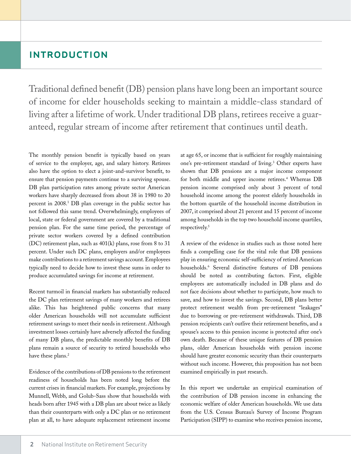# **INTRODUCTION**

Traditional defined benefit (DB) pension plans have long been an important source of income for elder households seeking to maintain a middle-class standard of living after a lifetime of work. Under traditional DB plans, retirees receive a guaranteed, regular stream of income after retirement that continues until death.

The monthly pension benefit is typically based on years of service to the employer, age, and salary history. Retirees also have the option to elect a joint-and-survivor benefit, to ensure that pension payments continue to a surviving spouse. DB plan participation rates among private sector American workers have sharply decreased from about 38 in 1980 to 20 percent in 2008.<sup>1</sup> DB plan coverage in the public sector has not followed this same trend. Overwhelmingly, employees of local, state or federal government are covered by a traditional pension plan. For the same time period, the percentage of private sector workers covered by a defined contribution (DC) retirement plan, such as 401(k) plans, rose from 8 to 31 percent. Under such DC plans, employers and/or employees make contributions to a retirement savings account. Employees typically need to decide how to invest these sums in order to produce accumulated savings for income at retirement.

Recent turmoil in financial markets has substantially reduced the DC plan retirement savings of many workers and retirees alike. This has heightened public concerns that many older American households will not accumulate sufficient retirement savings to meet their needs in retirement. Although investment losses certainly have adversely affected the funding of many DB plans, the predictable monthly benefits of DB plans remain a source of security to retired households who have these plans.<sup>2</sup>

Evidence of the contributions of DB pensions to the retirement readiness of households has been noted long before the current crises in financial markets. For example, projections by Munnell, Webb, and Golub-Sass show that households with heads born after 1945 with a DB plan are about twice as likely than their counterparts with only a DC plan or no retirement plan at all, to have adequate replacement retirement income

at age 65, or income that is sufficient for roughly maintaining one's pre-retirement standard of living.3 Other experts have shown that DB pensions are a major income component for both middle and upper income retirees.<sup>4</sup> Whereas DB pension income comprised only about 3 percent of total household income among the poorest elderly households in the bottom quartile of the household income distribution in 2007, it comprised about 21 percent and 15 percent of income among households in the top two household income quartiles, respectively.5

A review of the evidence in studies such as those noted here finds a compelling case for the vital role that DB pensions play in ensuring economic self-sufficiency of retired American households.6 Several distinctive features of DB pensions should be noted as contributing factors. First, eligible employees are automatically included in DB plans and do not face decisions about whether to participate, how much to save, and how to invest the savings. Second, DB plans better protect retirement wealth from pre-retirement "leakages" due to borrowing or pre-retirement withdrawals. Third, DB pension recipients can't outlive their retirement benefits, and a spouse's access to this pension income is protected after one's own death. Because of these unique features of DB pension plans, older American households with pension income should have greater economic security than their counterparts without such income. However, this proposition has not been examined empirically in past research.

In this report we undertake an empirical examination of the contribution of DB pension income in enhancing the economic welfare of older American households. We use data from the U.S. Census Bureau's Survey of Income Program Participation (SIPP) to examine who receives pension income,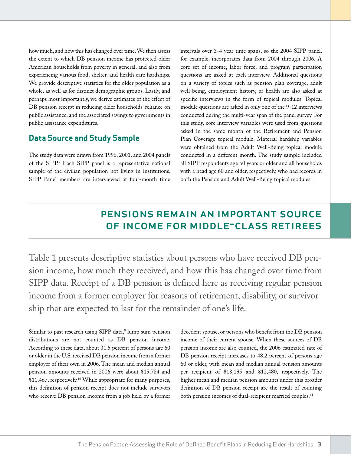how much, and how this has changed over time. We then assess the extent to which DB pension income has protected older American households from poverty in general, and also from experiencing various food, shelter, and health care hardships. We provide descriptive statistics for the older population as a whole, as well as for distinct demographic groups. Lastly, and perhaps most importantly, we derive estimates of the effect of DB pension receipt in reducing older households' reliance on public assistance, and the associated savings to governments in public assistance expenditures.

#### **Data Source and Study Sample**

The study data were drawn from 1996, 2001, and 2004 panels of the SIPP.7 Each SIPP panel is a representative national sample of the civilian population not living in institutions. SIPP Panel members are interviewed at four-month time

intervals over 3-4 year time spans, so the 2004 SIPP panel, for example, incorporates data from 2004 through 2006. A core set of income, labor force, and program participation questions are asked at each interview. Additional questions on a variety of topics such as pension plan coverage, adult well-being, employment history, or health are also asked at specific interviews in the form of topical modules. Topical module questions are asked in only one of the 9-12 interviews conducted during the multi-year span of the panel survey. For this study, core interview variables were used from questions asked in the same month of the Retirement and Pension Plan Coverage topical module. Material hardship variables were obtained from the Adult Well-Being topical module conducted in a different month. The study sample included all SIPP respondents age 60 years or older and all households with a head age 60 and older, respectively, who had records in both the Pension and Adult Well-Being topical modules.<sup>8</sup>

# PENSIONS REMAIN AN IMPORTANT SOURCE OF INCOME FOR MIDDLE<sup>-</sup>CLASS RETIREES

Table 1 presents descriptive statistics about persons who have received DB pension income, how much they received, and how this has changed over time from SIPP data. Receipt of a DB pension is defined here as receiving regular pension income from a former employer for reasons of retirement, disability, or survivorship that are expected to last for the remainder of one's life.

Similar to past research using SIPP data,<sup>9</sup> lump sum pension distributions are not counted as DB pension income. According to these data, about 31.5 percent of persons age 60 or older in the U.S. received DB pension income from a former employer of their own in 2006. The mean and median annual pension amounts received in 2006 were about \$15,784 and \$11,467, respectively.10 While appropriate for many purposes, this definition of pension receipt does not include survivors who receive DB pension income from a job held by a former

decedent spouse, or persons who benefit from the DB pension income of their current spouse. When these sources of DB pension income are also counted, the 2006 estimated rate of DB pension receipt increases to 48.2 percent of persons age 60 or older, with mean and median annual pension amounts per recipient of \$18,195 and \$12,480, respectively. The higher mean and median pension amounts under this broader definition of DB pension receipt are the result of counting both pension incomes of dual-recipient married couples.<sup>11</sup>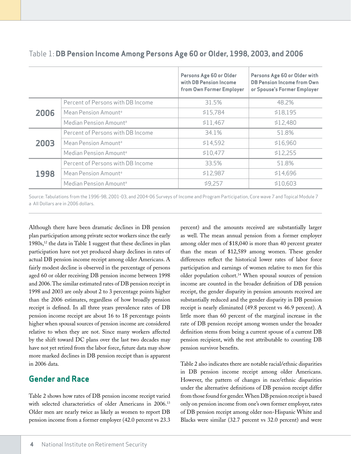|      |                                    | Persons Age 60 or Older<br>with DB Pension Income<br>from Own Former Employer | Persons Age 60 or Older with<br><b>DB Pension Income from Own</b><br>or Spouse's Former Employer |
|------|------------------------------------|-------------------------------------------------------------------------------|--------------------------------------------------------------------------------------------------|
|      | Percent of Persons with DB Income  | 31.5%                                                                         | 48.2%                                                                                            |
| 2006 | Mean Pension Amount <sup>a</sup>   | \$15,784                                                                      | \$18,195                                                                                         |
|      | Median Pension Amount <sup>a</sup> | \$11,467                                                                      | \$12,480                                                                                         |
|      | Percent of Persons with DB Income  | 34.1%                                                                         | 51.8%                                                                                            |
| 2003 | Mean Pension Amount <sup>a</sup>   | \$14,592                                                                      | \$16,960                                                                                         |
|      | Median Pension Amount <sup>a</sup> | \$10,477                                                                      | \$12,255                                                                                         |
|      | Percent of Persons with DB Income  | 33.5%                                                                         | 51.8%                                                                                            |
| 1998 | Mean Pension Amount <sup>a</sup>   | \$12,987                                                                      | \$14,696                                                                                         |
|      | Median Pension Amount <sup>a</sup> | \$9,257                                                                       | \$10,603                                                                                         |

#### Table 1: DB Pension Income Among Persons Age 60 or Older, 1998, 2003, and 2006

Source: Tabulations from the 1996-98, 2001-03, and 2004-06 Surveys of Income and Program Participation, Core wave 7 and Topical Module 7 a All Dollars are in 2006 dollars.

Although there have been dramatic declines in DB pension plan participation among private sector workers since the early 1980s,<sup>12</sup> the data in Table 1 suggest that these declines in plan participation have not yet produced sharp declines in rates of actual DB pension income receipt among older Americans. A fairly modest decline is observed in the percentage of persons aged 60 or older receiving DB pension income between 1998 and 2006. The similar estimated rates of DB pension receipt in 1998 and 2003 are only about 2 to 3 percentage points higher than the 2006 estimates, regardless of how broadly pension receipt is defined. In all three years prevalence rates of DB pension income receipt are about 16 to 18 percentage points higher when spousal sources of pension income are considered relative to when they are not. Since many workers affected by the shift toward DC plans over the last two decades may have not yet retired from the labor force, future data may show more marked declines in DB pension receipt than is apparent in 2006 data.

## **Gender and Race**

Table 2 shows how rates of DB pension income receipt varied with selected characteristics of older Americans in 2006.<sup>13</sup> Older men are nearly twice as likely as women to report DB pension income from a former employer (42.0 percent vs 23.3 percent) and the amounts received are substantially larger as well. The mean annual pension from a former employer among older men of \$18,040 is more than 40 percent greater than the mean of \$12,589 among women. These gender differences reflect the historical lower rates of labor force participation and earnings of women relative to men for this older population cohort.14 When spousal sources of pension income are counted in the broader definition of DB pension receipt, the gender disparity in pension amounts received are substantially reduced and the gender disparity in DB pension receipt is nearly eliminated (49.8 percent vs 46.9 percent). A little more than 60 percent of the marginal increase in the rate of DB pension receipt among women under the broader definition stems from being a current spouse of a current DB pension recipient, with the rest attributable to counting DB pension survivor benefits.

Table 2 also indicates there are notable racial/ethnic disparities in DB pension income receipt among older Americans. However, the pattern of changes in race/ethnic disparities under the alternative definitions of DB pension receipt differ from those found for gender. When DB pension receipt is based only on pension income from one's own former employer, rates of DB pension receipt among older non-Hispanic White and Blacks were similar (32.7 percent vs 32.0 percent) and were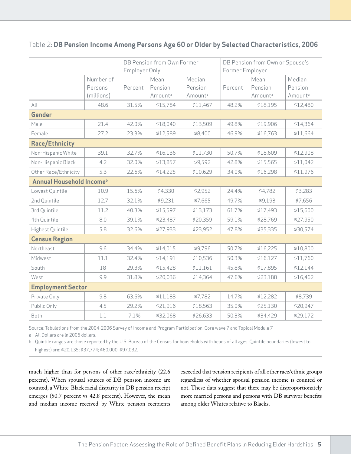|                                      |            | DB Pension from Own Former |                     | DB Pension from Own or Spouse's |                 |                     |                     |
|--------------------------------------|------------|----------------------------|---------------------|---------------------------------|-----------------|---------------------|---------------------|
|                                      |            | <b>Employer Only</b>       |                     |                                 | Former Employer |                     |                     |
|                                      | Number of  |                            | Mean                | Median                          |                 | Mean                | Median              |
|                                      | Persons    | Percent                    | Pension             | Pension                         | Percent         | Pension             | Pension             |
|                                      | (millions) |                            | Amount <sup>a</sup> | Amount <sup>a</sup>             |                 | Amount <sup>a</sup> | Amount <sup>a</sup> |
| All                                  | 48.6       | 31.5%                      | \$15,784            | \$11,467                        | 48.2%           | \$18,195            | \$12,480            |
| Gender                               |            |                            |                     |                                 |                 |                     |                     |
| Male                                 | 21.4       | 42.0%                      | \$18,040            | \$13,509                        | 49.8%           | \$19,906            | \$14,364            |
| Female                               | 27.2       | 23.3%                      | \$12,589            | \$8,400                         | 46.9%           | \$16,763            | \$11,664            |
| <b>Race/Ethnicity</b>                |            |                            |                     |                                 |                 |                     |                     |
| Non-Hispanic White                   | 39.1       | 32.7%                      | \$16,136            | \$11,730                        | 50.7%           | \$18,609            | \$12,908            |
| Non-Hispanic Black                   | 4.2        | 32.0%                      | \$13,857            | \$9,592                         | 42.8%           | \$15,565            | \$11,042            |
| Other Race/Ethnicity                 | 5.3        | 22.6%                      | \$14,225            | \$10,629                        | 34.0%           | \$16,298            | \$11,976            |
| Annual Household Income <sup>b</sup> |            |                            |                     |                                 |                 |                     |                     |
| Lowest Quintile                      | 10.9       | 15.6%                      | \$4,330             | \$2,952                         | 24.4%           | \$4,782             | \$3,283             |
| 2nd Quintile                         | 12.7       | 32.1%                      | \$9,231             | \$7,665                         | 49.7%           | \$9,193             | \$7,656             |
| 3rd Quintile                         | 11.2       | 40.3%                      | \$15,597            | \$13,173                        | 61.7%           | \$17,493            | \$15,600            |
| 4th Quintile                         | 8.0        | 39.1%                      | \$23,487            | \$20,359                        | 59.1%           | \$28,769            | \$27,950            |
| Highest Quintile                     | 5.8        | 32.6%                      | \$27,933            | \$23,952                        | 47.8%           | \$35,335            | \$30,574            |
| <b>Census Region</b>                 |            |                            |                     |                                 |                 |                     |                     |
| Northeast                            | 9.6        | 34.4%                      | \$14,015            | \$9,796                         | 50.7%           | \$16,225            | \$10,800            |
| Midwest                              | 11.1       | 32.4%                      | \$14,191            | \$10,536                        | 50.3%           | \$16,127            | \$11,760            |
| South                                | 18         | 29.3%                      | \$15,428            | \$11,161                        | 45.8%           | \$17,895            | \$12,144            |
| West                                 | 9.9        | 31.8%                      | \$20,036            | \$14,364                        | 47.6%           | \$23,188            | \$16,462            |
| <b>Employment Sector</b>             |            |                            |                     |                                 |                 |                     |                     |
| Private Only                         | 9.8        | 63.6%                      | \$11,183            | \$7,782                         | 14.7%           | \$12,282            | \$8,739             |
| Public Only                          | 4.5        | 29.2%                      | \$21,916            | \$18,563                        | 35.0%           | \$25,130            | \$20,947            |

#### Table 2: DB Pension Income Among Persons Age 60 or Older by Selected Characteristics, 2006

Source: Tabulations from the 2004-2006 Survey of Income and Program Participation, Core wave 7 and Topical Module 7

a All Dollars are in 2006 dollars.

b Quintile ranges are those reported by the U.S. Bureau of the Census for households with heads of all ages. Quintile boundaries (lowest to highest) are: \$20,135; \$37,774; \$60,000; \$97,032.

1^cW & "!%' !%%"" \$" "##!( !( &!

much higher than for persons of other race/ethnicity (22.6 percent). When spousal sources of DB pension income are counted, a White-Black racial disparity in DB pension receipt emerges (50.7 percent vs 42.8 percent). However, the mean and median income received by White pension recipients exceeded that pension recipients of all other race/ethnic groups regardless of whether spousal pension income is counted or not. These data suggest that there may be disproportionately more married persons and persons with DB survivor benefits among older Whites relative to Blacks.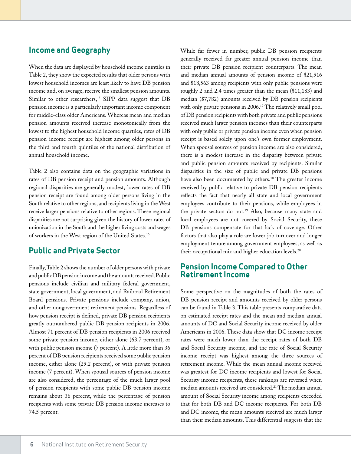#### **Income and Geography**

When the data are displayed by household income quintiles in Table 2, they show the expected results that older persons with lowest household incomes are least likely to have DB pension income and, on average, receive the smallest pension amounts. Similar to other researchers,<sup>15</sup> SIPP data suggest that DB pension income is a particularly important income component for middle-class older Americans. Whereas mean and median pension amounts received increase monotonically from the lowest to the highest household income quartiles, rates of DB pension income receipt are highest among older persons in the third and fourth quintiles of the national distribution of annual household income.

Table 2 also contains data on the geographic variations in rates of DB pension receipt and pension amounts. Although regional disparities are generally modest, lower rates of DB pension receipt are found among older persons living in the South relative to other regions, and recipients living in the West receive larger pensions relative to other regions. These regional disparities are not surprising given the history of lower rates of unionization in the South and the higher living costs and wages of workers in the West region of the United States.16

## **Public and Private Sector**

Finally, Table 2 shows the number of older persons with private and public DB pension income and the amounts received. Public pensions include civilian and military federal government, state government, local government, and Railroad Retirement Board pensions. Private pensions include company, union, and other nongovernment retirement pensions. Regardless of how pension receipt is defined, private DB pension recipients greatly outnumbered public DB pension recipients in 2006. Almost 71 percent of DB pension recipients in 2006 received some private pension income, either alone (63.7 percent), or with public pension income (7 percent). A little more than 36 percent of DB pension recipients received some public pension income, either alone (29.2 percent), or with private pension income (7 percent). When spousal sources of pension income are also considered, the percentage of the much larger pool of pension recipients with some public DB pension income remains about 36 percent, while the percentage of pension recipients with some private DB pension income increases to 74.5 percent.

While far fewer in number, public DB pension recipients generally received far greater annual pension income than their private DB pension recipient counterparts. The mean and median annual amounts of pension income of \$21,916 and \$18,563 among recipients with only public pensions were roughly 2 and 2.4 times greater than the mean (\$11,183) and median (\$7,782) amounts received by DB pension recipients with only private pensions in 2006.<sup>17</sup> The relatively small pool of DB pension recipients with both private and public pensions received much larger pension incomes than their counterparts with only public or private pension income even when pension receipt is based solely upon one's own former employment. When spousal sources of pension income are also considered, there is a modest increase in the disparity between private and public pension amounts received by recipients. Similar disparities in the size of public and private DB pensions have also been documented by others.<sup>18</sup> The greater income received by public relative to private DB pension recipients reflects the fact that nearly all state and local government employees contribute to their pensions, while employees in the private sectors do not.<sup>19</sup> Also, because many state and local employees are not covered by Social Security, these DB pensions compensate for that lack of coverage. Other factors that also play a role are lower job turnover and longer employment tenure among government employees, as well as their occupational mix and higher education levels.<sup>20</sup>

#### **Pension Income Compared to Other Retirement Income**

Some perspective on the magnitudes of both the rates of DB pension receipt and amounts received by older persons can be found in Table 3. This table presents comparative data on estimated receipt rates and the mean and median annual amounts of DC and Social Security income received by older Americans in 2006. These data show that DC income receipt rates were much lower than the receipt rates of both DB and Social Security income, and the rate of Social Security income receipt was highest among the three sources of retirement income. While the mean annual income received was greatest for DC income recipients and lowest for Social Security income recipients, these rankings are reversed when median amounts received are considered.<sup>21</sup> The median annual amount of Social Security income among recipients exceeded that for both DB and DC income recipients. For both DB and DC income, the mean amounts received are much larger than their median amounts. This differential suggests that the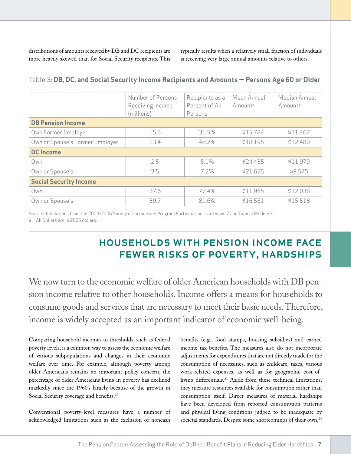distributions of amounts received by DB and DC recipients are more heavily skewed than for Social Security recipients. This typically results when a relatively small fraction of individuals is receiving very large annual amounts relative to others.

|                                 | Number of Persons<br>Receiving Income<br>(millions) | Recipients as a<br>Percent of All<br>Persons | Mean Annual<br>Amount <sup>a</sup> | Median Annual<br>Amount <sup>a</sup> |
|---------------------------------|-----------------------------------------------------|----------------------------------------------|------------------------------------|--------------------------------------|
| <b>DB Pension Income</b>        |                                                     |                                              |                                    |                                      |
| Own Former Employer             | 15.3                                                | 31.5%                                        | \$15,784                           | \$11,467                             |
| Own or Spouse's Former Employer | 23.4                                                | 48.2%                                        | \$18,195                           | \$12,480                             |
| <b>DC</b> Income                |                                                     |                                              |                                    |                                      |
| Own                             | 2.5                                                 | 5.1%                                         | \$24,435                           | \$11,970                             |
| Own or Spouse's                 | 3.5                                                 | 7.2%                                         | \$21,625                           | \$9,575                              |
| <b>Social Security Income</b>   |                                                     |                                              |                                    |                                      |
| Own                             | 37.6                                                | 77.4%                                        | \$11,965                           | \$12,038                             |
| Own or Spouse's                 | 39.7                                                | 81.6%                                        | \$16,561                           | \$15,518                             |

#### Table 3: DB, DC, and Social Security Income Recipients and Amounts - Persons Age 60 or Older

Source: Tabulations from the 2004-2006 Survey of Income and Program Participation, Core wave 7 and Topical Module 7 a All Dollars are in 2006 dollars.

# HOUSEHOLDS WITH PENSION INCOME FACE FEWER RISKS OF POVERTY, HARDSHIPS

We now turn to the economic welfare of older American households with DB pension income relative to other households. Income offers a means for households to consume goods and services that are necessary to meet their basic needs. Therefore, income is widely accepted as an important indicator of economic well-being.

Comparing household incomes to thresholds, such as federal poverty levels, is a common way to assess the economic welfare of various subpopulations and changes in their economic welfare over time. For example, although poverty among older Americans remains an important policy concern, the percentage of older Americans living in poverty has declined markedly since the 1960's largely because of the growth in Social Security coverage and benefits.<sup>22</sup>

Conventional poverty-level measures have a number of acknowledged limitations such as the exclusion of noncash

benefits (e.g., food stamps, housing subsidies) and earned income tax benefits. The measures also do not incorporate adjustments for expenditures that are not directly made for the consumption of necessities, such as childcare, taxes, various work-related expenses, as well as for geographic cost-ofliving differentials.23 Aside from these technical limitations, they measure resources available for consumption rather than consumption itself. Direct measures of material hardships have been developed from reported consumption patterns and physical living conditions judged to be inadequate by societal standards. Despite some shortcomings of their own,<sup>24</sup>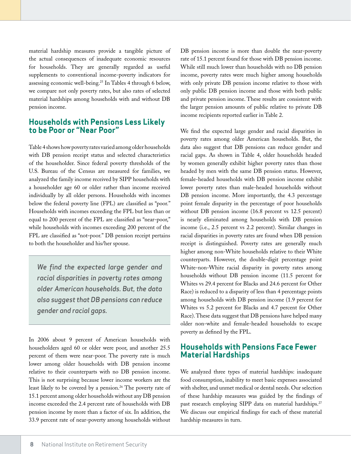material hardship measures provide a tangible picture of the actual consequences of inadequate economic resources for households. They are generally regarded as useful supplements to conventional income-poverty indicators for assessing economic well-being.25 In Tables 4 through 6 below, we compare not only poverty rates, but also rates of selected material hardships among households with and without DB pension income.

#### **Households with Pensions Less Likely** to be Poor or "Near Poor"

Table 4 shows how poverty rates varied among older households with DB pension receipt status and selected characteristics of the householder. Since federal poverty thresholds of the U.S. Bureau of the Census are measured for families, we analyzed the family income received by SIPP households with a householder age 60 or older rather than income received individually by all older persons. Households with incomes below the federal poverty line (FPL) are classified as "poor." Households with incomes exceeding the FPL but less than or equal to 200 percent of the FPL are classified as "near-poor," while households with incomes exceeding 200 percent of the FPL are classified as "not-poor." DB pension receipt pertains to both the householder and his/her spouse.

We find the expected large gender and racial disparities in poverty rates among *^[STa0\TaXRP]W^dbTW^[Sb1dccWTSPcP* also suggest that DB pensions can reduce *gender and racial gaps.* 

In 2006 about 9 percent of American households with householders aged 60 or older were poor, and another 25.5 percent of them were near-poor. The poverty rate is much lower among older households with DB pension income relative to their counterparts with no DB pension income. This is not surprising because lower income workers are the least likely to be covered by a pension.<sup>26</sup> The poverty rate of 15.1 percent among older households without any DB pension income exceeded the 2.4 percent rate of households with DB pension income by more than a factor of six. In addition, the 33.9 percent rate of near-poverty among households without

DB pension income is more than double the near-poverty rate of 15.1 percent found for those with DB pension income. While still much lower than households with no DB pension income, poverty rates were much higher among households with only private DB pension income relative to those with only public DB pension income and those with both public and private pension income. These results are consistent with the larger pension amounts of public relative to private DB income recipients reported earlier in Table 2.

We find the expected large gender and racial disparities in poverty rates among older American households. But, the data also suggest that DB pensions can reduce gender and racial gaps. As shown in Table 4, older households headed by women generally exhibit higher poverty rates than those headed by men with the same DB pension status. However, female-headed households with DB pension income exhibit lower poverty rates than male-headed households without DB pension income. More importantly, the 4.3 percentage point female disparity in the percentage of poor households without DB pension income (16.8 percent vs 12.5 percent) is nearly eliminated among households with DB pension income (i.e., 2.5 percent vs 2.2 percent). Similar changes in racial disparities in poverty rates are found when DB pension receipt is distinguished. Poverty rates are generally much higher among non-White households relative to their White counterparts. However, the double-digit percentage point White-non-White racial disparity in poverty rates among households without DB pension income (11.5 percent for Whites vs 29.4 percent for Blacks and 24.6 percent for Other Race) is reduced to a disparity of less than 4 percentage points among households with DB pension income (1.9 percent for Whites vs 5.2 percent for Blacks and 4.7 percent for Other Race). These data suggest that DB pensions have helped many older non-white and female-headed households to escape poverty as defined by the FPL.

#### **Households with Pensions Face Fewer Material Hardships**

We analyzed three types of material hardships: inadequate food consumption, inability to meet basic expenses associated with shelter, and unmet medical or dental needs. Our selection of these hardship measures was guided by the findings of past research employing SIPP data on material hardships.<sup>27</sup> We discuss our empirical findings for each of these material hardship measures in turn.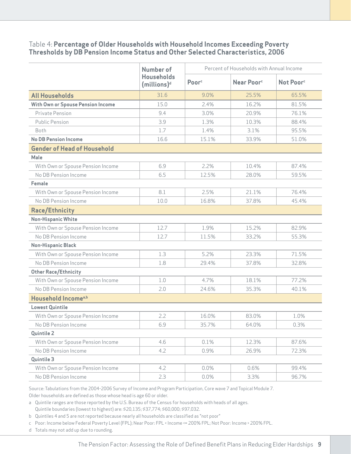#### Table 4: **Percentage of Older Households with Household Incomes Exceeding Poverty** Thresholds by DB Pension Income Status and Other Selected Characteristics, 2006

|                                    | <b>Number of</b>                             | Percent of Households with Annual Income |                        |                       |
|------------------------------------|----------------------------------------------|------------------------------------------|------------------------|-----------------------|
|                                    | <b>Households</b><br>(millions) <sup>d</sup> | <b>Poor</b> <sup>c</sup>                 | Near Poor <sup>c</sup> | Not Poor <sup>c</sup> |
| <b>All Households</b>              | 31.6                                         | 9.0%                                     | 25.5%                  | 65.5%                 |
| With Own or Spouse Pension Income  | 15.0                                         | 2.4%                                     | 16.2%                  | 81.5%                 |
| <b>Private Pension</b>             | 9.4                                          | 3.0%                                     | 20.9%                  | 76.1%                 |
| <b>Public Pension</b>              | 3.9                                          | 1.3%                                     | 10.3%                  | 88.4%                 |
| <b>Both</b>                        | 1.7                                          | 1.4%                                     | 3.1%                   | 95.5%                 |
| <b>No DB Pension Income</b>        | 16.6                                         | 15.1%                                    | 33.9%                  | 51.0%                 |
| <b>Gender of Head of Household</b> |                                              |                                          |                        |                       |
| Male                               |                                              |                                          |                        |                       |
| With Own or Spouse Pension Income  | 6.9                                          | 2.2%                                     | 10.4%                  | 87.4%                 |
| No DB Pension Income               | 6.5                                          | 12.5%                                    | 28.0%                  | 59.5%                 |
| Female                             |                                              |                                          |                        |                       |
| With Own or Spouse Pension Income  | 8.1                                          | 2.5%                                     | 21.1%                  | 76.4%                 |
| No DB Pension Income               | 10.0                                         | 16.8%                                    | 37.8%                  | 45.4%                 |
| <b>Race/Ethnicity</b>              |                                              |                                          |                        |                       |
| <b>Non-Hispanic White</b>          |                                              |                                          |                        |                       |
| With Own or Spouse Pension Income  | 12.7                                         | 1.9%                                     | 15.2%                  | 82.9%                 |
| No DB Pension Income               | 12.7                                         | 11.5%                                    | 33.2%                  | 55.3%                 |
| <b>Non-Hispanic Black</b>          |                                              |                                          |                        |                       |
| With Own or Spouse Pension Income  | 1.3                                          | 5.2%                                     | 23.3%                  | 71.5%                 |
| No DB Pension Income               | 1.8                                          | 29.4%                                    | 37.8%                  | 32.8%                 |
| <b>Other Race/Ethnicity</b>        |                                              |                                          |                        |                       |
| With Own or Spouse Pension Income  | 1.0                                          | 4.7%                                     | 18.1%                  | 77.2%                 |
| No DB Pension Income               | 2.0                                          | 24.6%                                    | 35.3%                  | 40.1%                 |
| Household Income <sup>a,b</sup>    |                                              |                                          |                        |                       |
| <b>Lowest Quintile</b>             |                                              |                                          |                        |                       |
| With Own or Spouse Pension Income  | 2.2                                          | 16.0%                                    | 83.0%                  | 1.0%                  |
| No DB Pension Income               | 6.9                                          | 35.7%                                    | 64.0%                  | 0.3%                  |
| Quintile 2                         |                                              |                                          |                        |                       |
| With Own or Spouse Pension Income  | 4.6                                          | 0.1%                                     | 12.3%                  | 87.6%                 |
| No DB Pension Income               | 4.2                                          | 0.9%                                     | 26.9%                  | 72.3%                 |
| Quintile 3                         |                                              |                                          |                        |                       |
| With Own or Spouse Pension Income  | 4.2                                          | 0.0%                                     | 0.6%                   | 99.4%                 |
| No DB Pension Income               | 2.3                                          | 0.0%                                     | 3.3%                   | 96.7%                 |

Source: Tabulations from the 2004-2006 Survey of Income and Program Participation, Core wave 7 and Topical Module 7. Older households are defined as those whose head is age 60 or older.

a Quintile ranges are those reported by the U.S. Bureau of the Census for households with heads of all ages. Quintile boundaries (lowest to highest) are: \$20,135; \$37,774; \$60,000; \$97,032.

b Quintiles 4 and 5 are not reported because nearly all households are classified as "not poor"

c Poor: Income below Federal Poverty Level (FPL); Near Poor: FPL < Income <= 200% FPL; Not Poor: Income > 200% FPL.

d Totals may not add up due to rounding.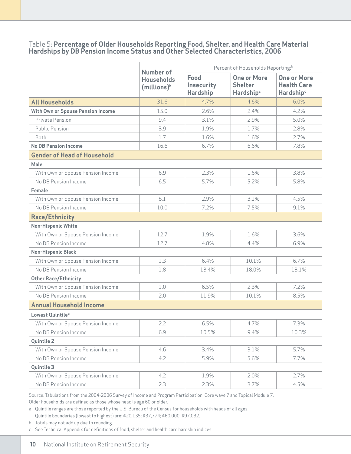#### Table 5: **Percentage of Older Households Reporting Food, Shelter, and Health Care Material** Hardships by DB Pension Income Status and Other Selected Characteristics, 2006

|                                    |                                                           |                                       | Percent of Households Reporting: <sup>b</sup>     |                                                       |
|------------------------------------|-----------------------------------------------------------|---------------------------------------|---------------------------------------------------|-------------------------------------------------------|
|                                    | Number of<br><b>Households</b><br>(millions) <sup>b</sup> | Food<br>Insecurity<br><b>Hardship</b> | <b>One or More</b><br><b>Shelter</b><br>Hardshipc | <b>One or More</b><br><b>Health Care</b><br>Hardshipc |
| <b>All Households</b>              | 31.6                                                      | 4.7%                                  | 4.6%                                              | 6.0%                                                  |
| With Own or Spouse Pension Income  | 15.0                                                      | 2.6%                                  | 2.4%                                              | 4.2%                                                  |
| Private Pension                    | 9.4                                                       | 3.1%                                  | 2.9%                                              | 5.0%                                                  |
| <b>Public Pension</b>              | 3.9                                                       | 1.9%                                  | 1.7%                                              | 2.8%                                                  |
| <b>Both</b>                        | 1.7                                                       | 1.6%                                  | 1.6%                                              | 2.7%                                                  |
| <b>No DB Pension Income</b>        | 16.6                                                      | 6.7%                                  | 6.6%                                              | 7.8%                                                  |
| <b>Gender of Head of Household</b> |                                                           |                                       |                                                   |                                                       |
| Male                               |                                                           |                                       |                                                   |                                                       |
| With Own or Spouse Pension Income  | 6.9                                                       | 2.3%                                  | 1.6%                                              | 3.8%                                                  |
| No DB Pension Income               | 6.5                                                       | 5.7%                                  | 5.2%                                              | 5.8%                                                  |
| Female                             |                                                           |                                       |                                                   |                                                       |
| With Own or Spouse Pension Income  | 8.1                                                       | 2.9%                                  | 3.1%                                              | 4.5%                                                  |
| No DB Pension Income               | 10.0                                                      | 7.2%                                  | 7.5%                                              | 9.1%                                                  |
| <b>Race/Ethnicity</b>              |                                                           |                                       |                                                   |                                                       |
| <b>Non-Hispanic White</b>          |                                                           |                                       |                                                   |                                                       |
| With Own or Spouse Pension Income  | 12.7                                                      | 1.9%                                  | 1.6%                                              | 3.6%                                                  |
| No DB Pension Income               | 12.7                                                      | 4.8%                                  | 4.4%                                              | 6.9%                                                  |
| <b>Non-Hispanic Black</b>          |                                                           |                                       |                                                   |                                                       |
| With Own or Spouse Pension Income  | 1.3                                                       | 6.4%                                  | 10.1%                                             | 6.7%                                                  |
| No DB Pension Income               | 1.8                                                       | 13.4%                                 | 18.0%                                             | 13.1%                                                 |
| <b>Other Race/Ethnicity</b>        |                                                           |                                       |                                                   |                                                       |
| With Own or Spouse Pension Income  | 1.0                                                       | 6.5%                                  | 2.3%                                              | 7.2%                                                  |
| No DB Pension Income               | 2.0                                                       | 11.9%                                 | 10.1%                                             | 8.5%                                                  |
| <b>Annual Household Income</b>     |                                                           |                                       |                                                   |                                                       |
| Lowest Quintile <sup>a</sup>       |                                                           |                                       |                                                   |                                                       |
| With Own or Spouse Pension Income  | 2.2                                                       | 6.5%                                  | 4.7%                                              | 7.3%                                                  |
| No DB Pension Income               | 6.9                                                       | 10.5%                                 | 9.4%                                              | 10.3%                                                 |
| <b>Quintile 2</b>                  |                                                           |                                       |                                                   |                                                       |
| With Own or Spouse Pension Income  | 4.6                                                       | 3.4%                                  | 3.1%                                              | 5.7%                                                  |
| No DB Pension Income               | 4.2                                                       | 5.9%                                  | 5.6%                                              | 7.7%                                                  |
| Quintile 3                         |                                                           |                                       |                                                   |                                                       |
| With Own or Spouse Pension Income  | 4.2                                                       | 1.9%                                  | 2.0%                                              | 2.7%                                                  |
| No DB Pension Income               | 2.3                                                       | 2.3%                                  | 3.7%                                              | 4.5%                                                  |

Source: Tabulations from the 2004-2006 Survey of Income and Program Participation, Core wave 7 and Topical Module 7. Older households are defined as those whose head is age 60 or older.

a Quintile ranges are those reported by the U.S. Bureau of the Census for households with heads of all ages. Quintile boundaries (lowest to highest) are: \$20,135; \$37,774; \$60,000; \$97,032.

b Totals may not add up due to rounding.

c See Technical Appendix for definitions of food, shelter and health care hardship indices.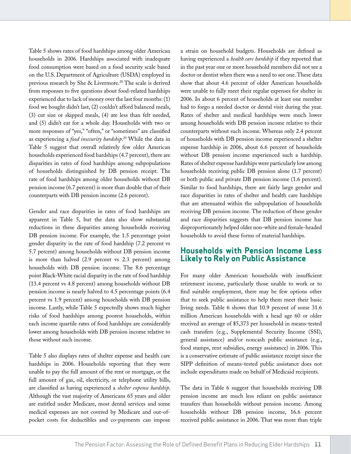Table 5 shows rates of food hardships among older American households in 2006. Hardships associated with inadequate food consumption were based on a food security scale based on the U.S. Department of Agriculture (USDA) employed in previous research by She & Livermore.28 The scale is derived from responses to five questions about food-related hardships experienced due to lack of money over the last four months: (1) food we bought didn't last, (2) couldn't afford balanced meals, (3) cut size or skipped meals, (4) ate less than felt needed, and (5) didn't eat for a whole day. Households with two or more responses of "yes," "often," or "sometimes" are classified as experiencing a *food insecurity hardship*. 29 While the data in Table 5 suggest that overall relatively few older American households experienced food hardships (4.7 percent), there are disparities in rates of food hardships among subpopulations of households distinguished by DB pension receipt. The rate of food hardships among older households without DB pension income (6.7 percent) is more than double that of their counterparts with DB pension income (2.6 percent).

Gender and race disparities in rates of food hardships are apparent in Table 5, but the data also show substantial reductions in these disparities among households receiving DB pension income. For example, the 1.5 percentage point gender disparity in the rate of food hardship (7.2 percent vs 5.7 percent) among households without DB pension income is more than halved (2.9 percent vs 2.3 percent) among households with DB pension income. The 8.6 percentage point Black-White racial disparity in the rate of food hardship (13.4 percent vs 4.8 percent) among households without DB pension income is nearly halved to 4.5 percentage points (6.4 percent vs 1.9 percent) among households with DB pension income. Lastly, while Table 5 expectedly shows much higher risks of food hardships among poorest households, within each income quartile rates of food hardships are considerably lower among households with DB pension income relative to those without such income.

Table 5 also displays rates of shelter expense and health care hardships in 2006. Households reporting that they were unable to pay the full amount of the rent or mortgage, or the full amount of gas, oil, electricity, or telephone utility bills, are classified as having experienced a *shelter expense hardship*. Although the vast majority of Americans 65 years and older are entitled under Medicare, most dental services and some medical expenses are not covered by Medicare and out-ofpocket costs for deductibles and co-payments can impose

a strain on household budgets. Households are defined as having experienced a *health care hardship* if they reported that in the past year one or more household members did not see a doctor or dentist when there was a need to see one. These data show that about 4.6 percent of older American households were unable to fully meet their regular expenses for shelter in 2006. In about 6 percent of households at least one member had to forgo a needed doctor or dental visit during the year. Rates of shelter and medical hardships were much lower among households with DB pension income relative to their counterparts without such income. Whereas only 2.4 percent of households with DB pension income experienced a shelter expense hardship in 2006, about 6.6 percent of households without DB pension income experienced such a hardship. Rates of shelter expense hardships were particularly low among households receiving public DB pension alone (1.7 percent) or both public and private DB pension income (1.6 percent). Similar to food hardships, there are fairly large gender and race disparities in rates of shelter and health care hardships that are attenuated within the subpopulation of households receiving DB pension income. The reduction of these gender and race disparities suggests that DB pension income has disproportionately helped older non-white and female-headed households to avoid these forms of material hardships.

#### **Households with Pension Income Less Likely to Rely on Public Assistance**

For many older American households with insufficient retirement income, particularly those unable to work or to find suitable employment, there may be few options other that to seek public assistance to help them meet their basic living needs. Table 6 shows that 10.9 percent of some 31.6 million American households with a head age 60 or older received an average of \$5,373 per household in means-tested cash transfers (e.g., Supplemental Security Income (SSI), general assistance) and/or noncash public assistance (e.g., food stamps, rent subsidies, energy assistance) in 2006. This is a conservative estimate of public assistance receipt since the SIPP definition of means-tested public assistance does not include expenditures made on behalf of Medicaid recipients.

The data in Table 6 suggest that households receiving DB pension income are much less reliant on public assistance transfers than households without pension income. Among households without DB pension income, 16.6 percent received public assistance in 2006. That was more than triple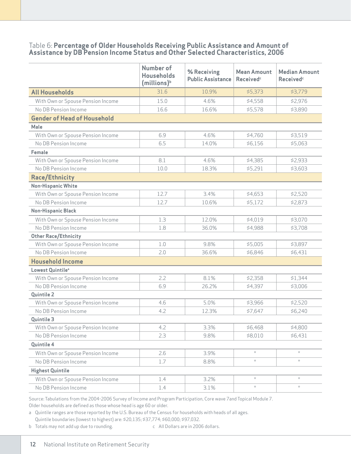# Table 6: Percentage of Older Households Receiving Public Assistance and Amount of Assistance by DB Pension Income Status and Other Selected Characteristics, 2006

|                                    | Number of<br><b>Households</b><br>(millions) <sup>b</sup> | % Receiving<br><b>Public Assistance</b> | <b>Mean Amount</b><br><b>Received</b> <sup>c</sup> | <b>Median Amount</b><br><b>Received</b> <sup>c</sup> |
|------------------------------------|-----------------------------------------------------------|-----------------------------------------|----------------------------------------------------|------------------------------------------------------|
| <b>All Households</b>              | 31.6                                                      | 10.9%                                   | \$5,373                                            | \$3,779                                              |
| With Own or Spouse Pension Income  | 15.0                                                      | 4.6%                                    | \$4,558                                            | \$2,976                                              |
| No DB Pension Income               | 16.6                                                      | 16.6%                                   | \$5,578                                            | \$3,890                                              |
| <b>Gender of Head of Household</b> |                                                           |                                         |                                                    |                                                      |
| Male                               |                                                           |                                         |                                                    |                                                      |
| With Own or Spouse Pension Income  | 6.9                                                       | 4.6%                                    | \$4,760                                            | \$3,519                                              |
| No DB Pension Income               | 6.5                                                       | 14.0%                                   | \$6,156                                            | \$5,063                                              |
| Female                             |                                                           |                                         |                                                    |                                                      |
| With Own or Spouse Pension Income  | 8.1                                                       | 4.6%                                    | \$4,385                                            | \$2,933                                              |
| No DB Pension Income               | 10.0                                                      | 18.3%                                   | \$5,291                                            | \$3,603                                              |
| <b>Race/Ethnicity</b>              |                                                           |                                         |                                                    |                                                      |
| <b>Non-Hispanic White</b>          |                                                           |                                         |                                                    |                                                      |
| With Own or Spouse Pension Income  | 12.7                                                      | 3.4%                                    | \$4,653                                            | \$2,520                                              |
| No DB Pension Income               | 12.7                                                      | 10.6%                                   | \$5,172                                            | \$2,873                                              |
| <b>Non-Hispanic Black</b>          |                                                           |                                         |                                                    |                                                      |
| With Own or Spouse Pension Income  | 1.3                                                       | 12.0%                                   | \$4,019                                            | \$3,070                                              |
| No DB Pension Income               | 1.8                                                       | 36.0%                                   | \$4,988                                            | \$3,708                                              |
| <b>Other Race/Ethnicity</b>        |                                                           |                                         |                                                    |                                                      |
| With Own or Spouse Pension Income  | 1.0                                                       | 9.8%                                    | \$5,005                                            | \$3,897                                              |
| No DB Pension Income               | 2.0                                                       | 36.6%                                   | \$6,846                                            | \$6,431                                              |
| <b>Household Income</b>            |                                                           |                                         |                                                    |                                                      |
| Lowest Quintile <sup>a</sup>       |                                                           |                                         |                                                    |                                                      |
| With Own or Spouse Pension Income  | 2.2                                                       | 8.1%                                    | \$2,358                                            | \$1,344                                              |
| No DB Pension Income               | 6.9                                                       | 26.2%                                   | \$4,397                                            | \$3,006                                              |
| <b>Quintile 2</b>                  |                                                           |                                         |                                                    |                                                      |
| With Own or Spouse Pension Income  | 4.6                                                       | 5.0%                                    | \$3,966                                            | \$2,520                                              |
| No DB Pension Income               | 4.2                                                       | 12.3%                                   | \$7,647                                            | \$6,240                                              |
| Ouintile 3                         |                                                           |                                         |                                                    |                                                      |
| With Own or Spouse Pension Income  | 4.2                                                       | 3.3%                                    | \$6,468                                            | \$4,800                                              |
| No DB Pension Income               | 2.3                                                       | 9.8%                                    | \$8,010                                            | \$6,431                                              |
| Quintile 4                         |                                                           |                                         |                                                    |                                                      |
| With Own or Spouse Pension Income  | 2.6                                                       | 3.9%                                    | $\frac{d}{dt}$                                     | $\frac{\partial}{\partial t}$                        |
| No DB Pension Income               | 1.7                                                       | 8.8%                                    | $\frac{d}{d\lambda}$                               | $\gamma^{\rm L}_{\rm X}$                             |
| <b>Highest Quintile</b>            |                                                           |                                         |                                                    |                                                      |
| With Own or Spouse Pension Income  | 1.4                                                       | 3.2%                                    | $\frac{1}{2\lambda}$                               | $\frac{1}{2\lambda}$                                 |
| No DB Pension Income               | 1.4                                                       | 3.1%                                    | $\frac{\sqrt{3}}{2\sqrt{6}}$                       | $\frac{\omega_{\rm p}}{2\Lambda}$                    |
|                                    |                                                           |                                         |                                                    |                                                      |

Source: Tabulations from the 2004-2006 Survey of Income and Program Participation, Core wave 7and Topical Module 7. Older households are defined as those whose head is age 60 or older.

a Quintile ranges are those reported by the U.S. Bureau of the Census for households with heads of all ages. Quintile boundaries (lowest to highest) are: \$20,135; \$37,774; \$60,000; \$97,032.

b Totals may not add up due to rounding.  $\qquad \qquad$  C All Dollars are in 2006 dollars.

**12** National Institute on Retirement Security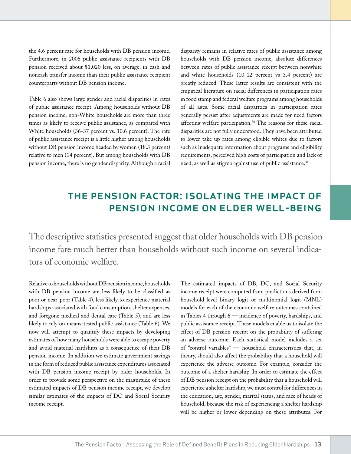the 4.6 percent rate for households with DB pension income. Furthermore, in 2006 public assistance recipients with DB pension received about \$1,020 less, on average, in cash and noncash transfer income than their public assistance recipient counterparts without DB pension income.

Table 6 also shows large gender and racial disparities in rates of public assistance receipt. Among households without DB pension income, non-White households are more than three times as likely to receive public assistance, as compared with White households (36-37 percent vs. 10.6 percent). The rate of public assistance receipt is a little higher among households without DB pension income headed by women (18.3 percent) relative to men (14 percent). But among households with DB pension income, there is no gender disparity. Although a racial disparity remains in relative rates of public assistance among households with DB pension income, absolute differences between rates of public assistance receipt between nonwhite and white households (10-12 percent vs 3.4 percent) are greatly reduced. These latter results are consistent with the empirical literature on racial differences in participation rates in food stamp and federal welfare programs among households of all ages. Some racial disparities in participation rates generally persist after adjustments are made for need factors affecting welfare participation.<sup>30</sup> The reasons for these racial disparities are not fully understood. They have been attributed to lower take up rates among eligible whites due to factors such as inadequate information about programs and eligibility requirements, perceived high costs of participation and lack of need, as well as stigma against use of public assistance.<sup>31</sup>

# THE PENSION FACTOR: ISOLATING THE IMPACT OF PENSION INCOME ON ELDER WELL-BEING

The descriptive statistics presented suggest that older households with DB pension income fare much better than households without such income on several indicators of economic welfare.

Relative to households without DB pension income, households with DB pension income are less likely to be classified as poor or near-poor (Table 4), less likely to experience material hardships associated with food consumption, shelter expenses, and foregone medical and dental care (Table 5), and are less likely to rely on means-tested public assistance (Table 6). We now will attempt to quantify these impacts by developing estimates of how many households were able to escape poverty and avoid material hardships as a consequence of their DB pension income. In addition we estimate government savings in the form of reduced public assistance expenditures associated with DB pension income receipt by older households. In order to provide some perspective on the magnitude of these estimated impacts of DB pension income receipt, we develop similar estimates of the impacts of DC and Social Security income receipt.

The estimated impacts of DB, DC, and Social Security income receipt were computed from predictions derived from household-level binary logit or multinomial logit (MNL) models for each of the economic welfare outcomes contained in Tables 4 through 6 — incidence of poverty, hardships, and public assistance receipt. These models enable us to isolate the effect of DB pension receipt on the probability of suffering an adverse outcome. Each statistical model includes a set of "control variables" — household characteristics that, in theory, should also affect the probability that a household will experience the adverse outcome. For example, consider the outcome of a shelter hardship. In order to estimate the effect of DB pension receipt on the probability that a household will experience a shelter hardship, we must control for differences in the education, age, gender, marital status, and race of heads of household, because the risk of experiencing a shelter hardship will be higher or lower depending on these attributes. For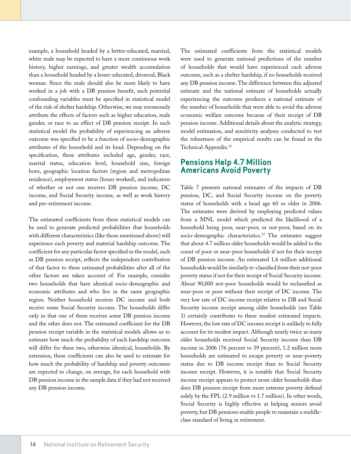example, a household headed by a better-educated, married, white male may be expected to have a more continuous work history, higher earnings, and greater wealth accumulation than a household headed by a lesser-educated, divorced, Black woman. Since the male should also be more likely to have worked in a job with a DB pension benefit, such potential confounding variables must be specified in statistical model of the risk of shelter hardship. Otherwise, we may erroneously attribute the effects of factors such as higher education, male gender, or race to an effect of DB pension receipt. In each statistical model the probability of experiencing an adverse outcome was specified to be a function of socio-demographic attributes of the household and its head. Depending on the specification, these attributes included age, gender, race, marital status, education level, household size, foreign born, geographic location factors (region and metropolitan residence), employment status (hours worked), and indicators of whether or not one receives DB pension income, DC income, and Social Security income, as well as work history and pre-retirement income.

The estimated coefficients from these statistical models can be used to generate predicted probabilities that households with different characteristics (like those mentioned above) will experience each poverty and material hardship outcome. The coefficient for any particular factor specified in the model, such as DB pension receipt, reflects the independent contribution of that factor to these estimated probabilities after all of the other factors are taken account of. For example, consider two households that have identical socio-demographic and economic attributes and who live in the same geographic region. Neither household receives DC income and both receive some Social Security income. The households differ only in that one of them receives some DB pension income and the other does not. The estimated coefficient for the DB pension receipt variable in the statistical models allows us to estimate how much the probability of each hardship outcome will differ for these two, otherwise identical, households. By extension, these coefficients can also be used to estimate for how much the probability of hardship and poverty outcomes are expected to change, on average, for each household with DB pension income in the sample data if they had not received any DB pension income.

The estimated coefficients from the statistical models were used to generate national predictions of the number of households that would have experienced each adverse outcome, such as a shelter hardship, if no households received any DB pension income. The difference between this adjusted estimate and the national estimate of households actually experiencing the outcome produces a national estimate of the number of households that were able to avoid the adverse economic welfare outcome because of their receipt of DB pension income. Additional details about the analytic strategy, model estimation, and sensitivity analyses conducted to test the robustness of the empirical results can be found in the Technical Appendix.32

#### **Pensions Help 4.7 Million Americans Avoid Poverty**

Table 7 presents national estimates of the impacts of DB pension, DC, and Social Security income on the poverty status of households with a head age 60 or older in 2006. The estimates were derived by employing predicted values from a MNL model which predicted the likelihood of a household being poor, near-poor, or not-poor, based on its socio-demographic characteristics.<sup>33</sup> The estimates suggest that about 4.7 million older households would be added to the count of poor or near-poor households if not for their receipt of DB pension income. An estimated 1.6 million additional households would be similarly re-classified from their not-poor poverty status if not for their receipt of Social Security income. About 90,000 not-poor households would be reclassified as near-poor or poor without their receipt of DC income. The very low rate of DC income receipt relative to DB and Social Security income receipt among older households (see Table 3) certainly contributes to these modest estimated impacts. However, the low rate of DC income receipt is unlikely to fully account for its modest impact. Although nearly twice as many older households received Social Security income than DB income in 2006 (76 percent vs 39 percent), 1.2 million more households are estimated to escape poverty or near-poverty status due to DB income receipt than to Social Security income receipt. However, it is notable that Social Security income receipt appears to protect more older households than does DB pension receipt from more extreme poverty defined solely by the FPL (2.9 million vs 1.7 million). In other words, Social Security is highly effective at helping seniors avoid poverty, but DB pensions enable people to maintain a middleclass standard of living in retirement.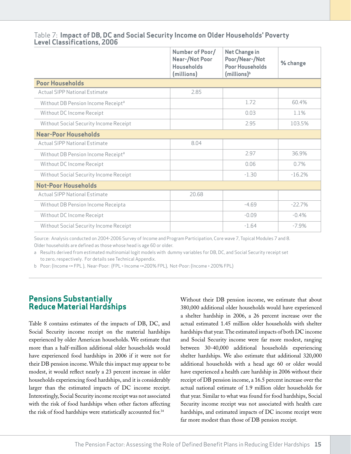# Table 7: **Impact of DB, DC and Social Security Income on Older Households' Poverty**<br>Level Classifications, 2006

|                                                | Number of Poor/<br><b>Near-/Not Poor</b><br><b>Households</b><br>(millions) | Net Change in<br>Poor/Near-/Not<br><b>Poor Households</b><br>(millions) <sup>b</sup> | % change |
|------------------------------------------------|-----------------------------------------------------------------------------|--------------------------------------------------------------------------------------|----------|
| <b>Poor Households</b>                         |                                                                             |                                                                                      |          |
| <b>Actual SIPP National Estimate</b>           | 2.85                                                                        |                                                                                      |          |
| Without DB Pension Income Receipt <sup>a</sup> |                                                                             | 1.72                                                                                 | 60.4%    |
| Without DC Income Receipt                      |                                                                             | 0.03                                                                                 | 1.1%     |
| Without Social Security Income Receipt         |                                                                             | 2.95                                                                                 | 103.5%   |
| <b>Near-Poor Households</b>                    |                                                                             |                                                                                      |          |
| <b>Actual SIPP National Estimate</b>           | 8.04                                                                        |                                                                                      |          |
| Without DB Pension Income Receipt <sup>a</sup> |                                                                             | 2.97                                                                                 | 36.9%    |
| Without DC Income Receipt                      |                                                                             | 0.06                                                                                 | 0.7%     |
| Without Social Security Income Receipt         |                                                                             | $-1.30$                                                                              | $-16.2%$ |
| <b>Not-Poor Households</b>                     |                                                                             |                                                                                      |          |
| <b>Actual SIPP National Estimate</b>           | 20.68                                                                       |                                                                                      |          |
| Without DB Pension Income Receipta             |                                                                             | $-4.69$                                                                              | $-22.7%$ |
| Without DC Income Receipt                      |                                                                             | $-0.09$                                                                              | $-0.4%$  |
| Without Social Security Income Receipt         |                                                                             | $-1.64$                                                                              | $-7.9%$  |

Source: Analysis conducted on 2004-2006 Survey of Income and Program Participation, Core wave 7, Topical Modules 7 and 8. Older households are defined as those whose head is age 60 or older.

a Results derived from estimated multinomial logit models with dummy variables for DB, DC, and Social Security receipt set to zero, respectively. For details see Technical Appendix.

b Poor: (Income <= FPL), Near-Poor: (FPL < Income <= 200% FPL), Not-Poor: (Income > 200% FPL)

# **Pensions Substantially Reduce Material Hardships**

Table 8 contains estimates of the impacts of DB, DC, and Social Security income receipt on the material hardships experienced by older American households. We estimate that more than a half-million additional older households would have experienced food hardships in 2006 if it were not for their DB pension income. While this impact may appear to be modest, it would reflect nearly a 23 percent increase in older households experiencing food hardships, and it is considerably larger than the estimated impacts of DC income receipt. Interestingly, Social Security income receipt was not associated with the risk of food hardships when other factors affecting the risk of food hardships were statistically accounted for.<sup>34</sup>

Without their DB pension income, we estimate that about 380,000 additional older households would have experienced a shelter hardship in 2006, a 26 percent increase over the actual estimated 1.45 million older households with shelter hardships that year. The estimated impacts of both DC income and Social Security income were far more modest, ranging between 30-40,000 additional households experiencing shelter hardships. We also estimate that additional 320,000 additional households with a head age 60 or older would have experienced a health care hardship in 2006 without their receipt of DB pension income, a 16.5 percent increase over the actual national estimate of 1.9 million older households for that year. Similar to what was found for food hardships, Social Security income receipt was not associated with health care hardships, and estimated impacts of DC income receipt were far more modest than those of DB pension receipt.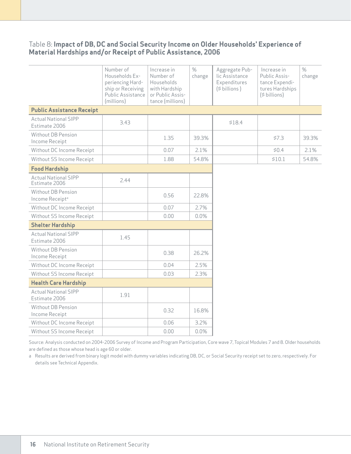#### Table 8: Impact of DB, DC and Social Security Income on Older Households' Experience of Material Hardships and/or Receipt of Public Assistance, 2006

|                                                          | Number of<br>Households Ex-<br>periencing Hard-<br>ship or Receiving<br>Public Assistance<br>(millions) | Increase in<br>Number of<br>Households<br>with Hardship<br>or Public Assis-<br>tance (millions) | $\%$<br>change | Aggregate Pub-<br>lic Assistance<br>Expenditures<br>(\$billions) | Increase in<br>Public Assis-<br>tance Expendi-<br>tures Hardships<br>$(5 \text{ billions})$ | $\%$<br>change |
|----------------------------------------------------------|---------------------------------------------------------------------------------------------------------|-------------------------------------------------------------------------------------------------|----------------|------------------------------------------------------------------|---------------------------------------------------------------------------------------------|----------------|
| <b>Public Assistance Receipt</b>                         |                                                                                                         |                                                                                                 |                |                                                                  |                                                                                             |                |
| <b>Actual National SIPP</b><br>Estimate 2006             | 3.43                                                                                                    |                                                                                                 |                | \$18.4                                                           |                                                                                             |                |
| Without DB Pension<br>Income Receipt                     |                                                                                                         | 1.35                                                                                            | 39.3%          |                                                                  | \$7.3                                                                                       | 39.3%          |
| Without DC Income Receipt                                |                                                                                                         | 0.07                                                                                            | 2.1%           |                                                                  | \$0.4                                                                                       | 2.1%           |
| Without SS Income Receipt                                |                                                                                                         | 1.88                                                                                            | 54.8%          |                                                                  | \$10.1                                                                                      | 54.8%          |
| <b>Food Hardship</b>                                     |                                                                                                         |                                                                                                 |                |                                                                  |                                                                                             |                |
| <b>Actual National SIPP</b><br>Estimate 2006             | 2.44                                                                                                    |                                                                                                 |                |                                                                  |                                                                                             |                |
| <b>Without DB Pension</b><br>Income Receipt <sup>a</sup> |                                                                                                         | 0.56                                                                                            | 22.8%          |                                                                  |                                                                                             |                |
| Without DC Income Receipt                                |                                                                                                         | 0.07                                                                                            | 2.7%           |                                                                  |                                                                                             |                |
| Without SS Income Receipt                                |                                                                                                         | 0.00                                                                                            | 0.0%           |                                                                  |                                                                                             |                |
| <b>Shelter Hardship</b>                                  |                                                                                                         |                                                                                                 |                |                                                                  |                                                                                             |                |
| <b>Actual National SIPP</b><br>Estimate 2006             | 1.45                                                                                                    |                                                                                                 |                |                                                                  |                                                                                             |                |
| <b>Without DB Pension</b><br>Income Receipt              |                                                                                                         | 0.38                                                                                            | 26.2%          |                                                                  |                                                                                             |                |
| Without DC Income Receipt                                |                                                                                                         | 0.04                                                                                            | 2.5%           |                                                                  |                                                                                             |                |
| Without SS Income Receipt                                |                                                                                                         | 0.03                                                                                            | 2.3%           |                                                                  |                                                                                             |                |
| <b>Health Care Hardship</b>                              |                                                                                                         |                                                                                                 |                |                                                                  |                                                                                             |                |
| <b>Actual National SIPP</b><br>Estimate 2006             | 1.91                                                                                                    |                                                                                                 |                |                                                                  |                                                                                             |                |
| Without DB Pension<br>Income Receipt                     |                                                                                                         | 0.32                                                                                            | 16.8%          |                                                                  |                                                                                             |                |
| Without DC Income Receipt                                |                                                                                                         | 0.06                                                                                            | 3.2%           |                                                                  |                                                                                             |                |
| Without SS Income Receipt                                |                                                                                                         | 0.00                                                                                            | 0.0%           |                                                                  |                                                                                             |                |

Source: Analysis conducted on 2004-2006 Survey of Income and Program Participation, Core wave 7, Topical Modules 7 and 8. Older households are defined as those whose head is age 60 or older.

a Results are derived from binary logit model with dummy variables indicating DB, DC, or Social Security receipt set to zero, respectively. For details see Technical Appendix.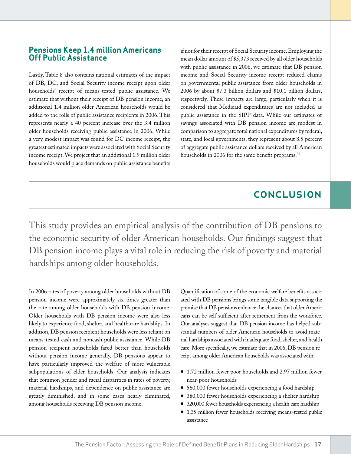#### **Pensions Keep 1.4 million Americans Off Public Assistance**

Lastly, Table 8 also contains national estimates of the impact of DB, DC, and Social Security income receipt upon older households' receipt of means-tested public assistance. We estimate that without their receipt of DB pension income, an additional 1.4 million older American households would be added to the rolls of public assistance recipients in 2006. This represents nearly a 40 percent increase over the 3.4 million older households receiving public assistance in 2006. While a very modest impact was found for DC income receipt, the greatest estimated impacts were associated with Social Security income receipt. We project that an additional 1.9 million older households would place demands on public assistance benefits

if not for their receipt of Social Security income. Employing the mean dollar amount of \$5,373 received by all older households with public assistance in 2006, we estimate that DB pension income and Social Security income receipt reduced claims on governmental public assistance from older households in 2006 by about \$7.3 billion dollars and \$10.1 billion dollars, respectively. These impacts are large, particularly when it is considered that Medicaid expenditures are not included as public assistance in the SIPP data. While our estimates of savings associated with DB pension income are modest in comparison to aggregate total national expenditures by federal, state, and local governments, they represent about 8.5 percent of aggregate public assistance dollars received by all American households in 2006 for the same benefit programs.<sup>35</sup>

# **CONCLUSION**

This study provides an empirical analysis of the contribution of DB pensions to the economic security of older American households. Our findings suggest that DB pension income plays a vital role in reducing the risk of poverty and material hardships among older households.

In 2006 rates of poverty among older households without DB pension income were approximately six times greater than the rate among older households with DB pension income. Older households with DB pension income were also less likely to experience food, shelter, and health care hardships. In addition, DB pension recipient households were less reliant on means-tested cash and noncash public assistance. While DB pension recipient households fared better than households without pension income generally, DB pensions appear to have particularly improved the welfare of more vulnerable subpopulations of elder households. Our analysis indicates that common gender and racial disparities in rates of poverty, material hardships, and dependence on public assistance are greatly diminished, and in some cases nearly eliminated, among households receiving DB pension income.

Quantification of some of the economic welfare benefits associated with DB pensions brings some tangible data supporting the premise that DB pensions enhance the chances that older Americans can be self-sufficient after retirement from the workforce. Our analyses suggest that DB pension income has helped substantial numbers of older American households to avoid material hardships associated with inadequate food, shelter, and health care. More specifically, we estimate that in 2006, DB pension receipt among older American households was associated with:

- v 1.72 million fewer poor households and 2.97 million fewer near-poor households
- 560,000 fewer households experiencing a food hardship
- 380,000 fewer households experiencing a shelter hardship
- 320,000 fewer households experiencing a health care hardship
- 1.35 million fewer households receiving means-tested public assistance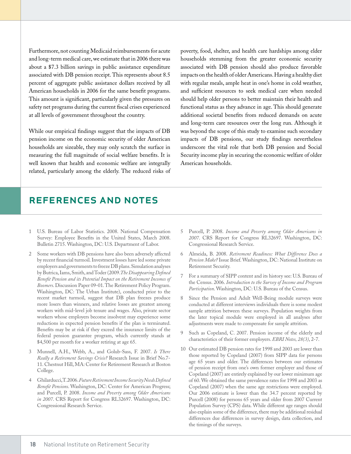Furthermore, not counting Medicaid reimbursements for acute and long-term medical care, we estimate that in 2006 there was about a \$7.3 billion savings in public assistance expenditure associated with DB pension receipt. This represents about 8.5 percent of aggregate public assistance dollars received by all American households in 2006 for the same benefit programs. This amount is significant, particularly given the pressures on safety net programs during the current fiscal crises experienced at all levels of government throughout the country.

While our empirical findings suggest that the impacts of DB pension income on the economic security of older American households are sizeable, they may only scratch the surface in measuring the full magnitude of social welfare benefits. It is well known that health and economic welfare are integrally related, particularly among the elderly. The reduced risks of poverty, food, shelter, and health care hardships among elder households stemming from the greater economic security associated with DB pension should also produce favorable impacts on the health of older Americans. Having a healthy diet with regular meals, ample heat in one's home in cold weather, and sufficient resources to seek medical care when needed should help older persons to better maintain their health and functional status as they advance in age. This should generate additional societal benefits from reduced demands on acute and long-term care resources over the long run. Although it was beyond the scope of this study to examine such secondary impacts of DB pensions, our study findings nevertheless underscore the vital role that both DB pension and Social Security income play in securing the economic welfare of older American households.

# REFERENCES AND NOTES

- 1 U.S. Bureau of Labor Statistics. 2008. National Compensation Survey: Employee Benefits in the United States, March 2008. Bulletin 2715. Washington, DC: U.S. Department of Labor.
- 2 Some workers with DB pensions have also been adversely affected by recent financial turmoil. Investment losses have led some private employers and governments to freeze DB plans. Simulation analyses by Butrica, Iams, Smith, and Toder (2009.*The Disappearing Defined Benefit Pension and its Potential Impact on the Retirement Incomes of Boomers*. Discussion Paper 09-01. The Retirement Policy Program. Washington, DC: The Urban Institute), conducted prior to the recent market turmoil, suggest that DB plan freezes produce more losers than winners, and relative losses are greatest among workers with mid-level job tenure and wages. Also, private sector workers whose employers become insolvent may experience some reductions in expected pension benefits if the plan is terminated. Benefits may be at risk if they exceed the insurance limits of the federal pension guarantee program, which currently stands at \$4,500 per month for a worker retiring at age 65.
- 3 Munnell, A.H., Webb, A., and Golub-Sass, F. 2007. *Is There Really a Retirement Savings Crisis?* Research Issue in Brief No.7- 11. Chestnut Hill, MA: Center for Retirement Research at Boston College.
- 4 Ghilarducci, T. 2006. *Future Retirement Income Security Needs Defined Benefit Pensions*. Washington, DC: Center for American Progress; and Purcell, P. 2008. *Income and Poverty among Older Americans in 2007*. CRS Report for Congress RL32697. Washington, DC: Congressional Research Service.
- 5 Purcell, P. 2008. *Income and Poverty among Older Americans in 2007*. CRS Report for Congress RL32697. Washington, DC: Congressional Research Service.
- 6 Almeida, B. 2008. *Retirement Readiness: What Difference Does a Pension Make?* Issue Brief. Washington, DC: National Institute on Retirement Security.
- 7 For a summary of SIPP content and its history see: U.S. Bureau of the Census. 2006. *Introduction to the Survey of Income and Program Participation*. Washington, DC: U.S. Bureau of the Census.
- 8 Since the Pension and Adult Well-Being module surveys were conducted at different interviews individuals there is some modest sample attrition between these surveys. Population weights from the later topical module were employed in all analyses after adjustments were made to compensate for sample attrition.
- 9 Such as Copeland, C. 2007. Pension income of the elderly and characteristics of their former employers. *EBRI Notes, 28(3)*, 2-7.
- 10 Our estimated DB pension rates for 1998 and 2003 are lower than those reported by Copeland (2007) from SIPP data for persons age 65 years and older. The differences between our estimates of pension receipt from one's own former employer and those of Copeland (2007) are entirely explained by our lower minimum age of 60. We obtained the same prevalence rates for 1998 and 2003 as Copeland (2007) when the same age restrictions were employed. Our 2006 estimate is lower than the 34.7 percent reported by Purcell (2008) for persons 65 years and older from 2007 Current Population Survey (CPS) data. While different age ranges should also explain some of the difference, there may be additional residual differences due differences in survey design, data collection, and the timings of the surveys.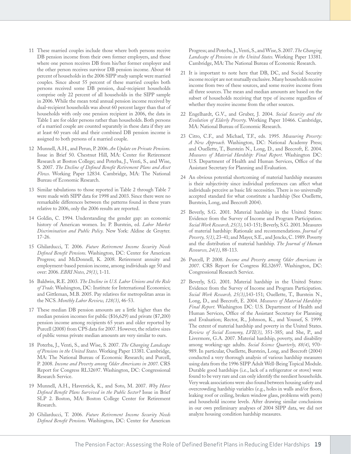- 11 These married couples include those where both persons receive DB pension income from their own former employers, and those where one person receives DB from his/her former employer and the other person receives survivor DB pension income. About 44 percent of households in the 2006 SIPP study sample were married couples. Since about 55 percent of these married couples both persons received some DB pension, dual-recipient households comprise only 22 percent of all households in the SIPP sample in 2006. While the mean total annual pension income received by dual-recipient households was about 60 percent larger than that of households with only one pension recipient in 2006, the data in Table 1 are for older persons rather than households. Both persons of a married couple are counted separately in these data if they are at least 60 years old and their combined DB pension income is assigned to both persons of a married couple.
- 12 Munnell, A.H., and Perun, P. 2006. *An Update on Private Pensions*. Issue in Brief 50. Chestnut Hill, MA: Center for Retirement Research at Boston College; and Poterba, J., Venti, S., and Wise, S. 2007. *The Decline of Defined Benefit Retirement Plans and Asset Flows*. Working Paper 12834. Cambridge, MA: The National Bureau of Economic Research.
- 13 Similar tabulations to those reported in Table 2 through Table 7 were made with SIPP data for 1998 and 2003. Since there were no remarkable differences between the patterns found in these years relative to 2006, only the 2006 results are reported.
- 14 Goldin, C. 1994. Understanding the gender gap: an economic history of American women. In: P. Burstein, ed. *Labor Market Discrimination and Public Policy.* New York: Aldine de Gruyter. 17-26.
- 15 Ghilarducci, T. 2006. *Future Retirement Income Security Needs Defined Benefit Pensions*. Washington, DC: Center for American Progress; and McDonnell, K. 2008. Retirement annuity and employment-based pension income, among individuals age 50 and over: 2006. *EBRI Notes, 29(1)*, 1-11.
- 16 Baldwin, R.E. 2003. *The Decline in U.S. Labor Unions and the Role of Trade*. Washington, DC: Institute for International Economics; and Gittleman, M.B. 2005. Pay relatives for metropolitan areas in the NCS. *Monthly Labor Review, 128(3)*, 46-53.
- 17 These median DB pension amounts are a little higher than the median pension incomes for public (\$16,629) and private (\$7,200) pension income among recipients 65 years and older reported by Purcell (2008) from CPS data for 2007. However, the relative sizes of public versus private median amounts are very similar to ours.
- 18 Poterba, J., Venti, S., and Wise, S. 2007. *The Changing Landscape of Pensions in the United States.* Working Paper 13381. Cambridge, MA: The National Bureau of Economic Research; and Purcell, P. 2008. *Income and Poverty among Older Americans in 2007*. CRS Report for Congress RL32697. Washington, DC: Congressional Research Service.
- 19 Munnell, A.H., Haverstick, K., and Soto, M. 2007. *Why Have Defined Benefit Plans Survived in the Public Sector?* Issue in Brief SLP 2. Boston, MA: Boston College Center for Retirement Research.
- 20 Ghilarducci, T. 2006. *Future Retirement Income Security Needs Defined Benefit Pensions*. Washington, DC: Center for American

Progress; and Poterba, J., Venti, S., and Wise, S. 2007. *The Changing Landscape of Pensions in the United States*. Working Paper 13381. Cambridge, MA: The National Bureau of Economic Research.

- 21 It is important to note here that DB, DC, and Social Security income receipt are not mutually exclusive. Many households receive income from two of these sources, and some receive income from all three sources. The mean and median amounts are based on the subset of households receiving that type of income regardless of whether they receive income from the other sources.
- 22 Engelhardt, G.V., and Gruber, J. 2004. *Social Security and the Evolution of Elderly Poverty*. Working Paper 10466. Cambridge, MA: National Bureau of Economic Research.
- 23 Citro, C.F., and Michael, T.F., eds. 1995. *Measuring Poverty: A New Approach*. Washington, DC: National Academy Press; and Ouellette, T., Burstein N., Long, D., and Beecroft, E. 2004. *Measures of Material Hardship: Final Report*. Washington DC: U.S. Department of Health and Human Services, Office of the Assistant Secretary for Planning and Evaluation.
- 24 An obvious potential shortcoming of material hardship measures is their subjectivity since individual preferences can affect what individuals perceive as basic life necessities. There is no universally accepted standard for what constitute a hardship (See Ouellette, Burstein, Long, and Beecroft 2004).
- 25 Beverly, S.G. 2001. Material hardship in the United States: Evidence from the Survey of Income and Program Participation. *Social Work Research, 25(3)*, 143-151; Beverly, S.G. 2001. Measures of material hardship: Rationale and recommendations. *Journal of Poverty, 5(1)*, 23-41; and Mayer, S.E., and Jencks, C. 1989. Poverty and the distribution of material hardship. *The Journal of Human Resources, 24(1)*, 88-113.
- 26 Purcell, P. 2008. *Income and Poverty among Older Americans in 2007*. CRS Report for Congress RL32697. Washington, DC: Congressional Research Service.
- 27 Beverly, S.G. 2001. Material hardship in the United States: Evidence from the Survey of Income and Program Participation. *Social Work Research, 25(3)*,143-151; Ouellette, T., Burstein N., Long, D., and Beecroft, E. 2004. *Measures of Material Hardship: Final Report.* Washington DC: U.S. Department of Health and Human Services, Office of the Assistant Secretary for Planning and Evaluation; Rector, R., Johnson, K., and Youssef, S. 1999. The extent of material hardship and poverty in the United States. *Review of Social Economy, LVII(3)*, 351-385; and She, P., and Livermore, G.A. 2007. Material hardship, poverty, and disability among working-age adults. *Social Science Quarterly, 88(4)*, 970- 989. In particular, Ouellette, Burstein, Long, and Beecroft (2004) conducted a very thorough analysis of various hardship measures using data from the 1996 SIPP Adult Well-Being Topical Module. Durable good hardships (i.e., lack of a refrigerator or stove) were found to be very rare and can only identify the neediest households. Very weak associations were also found between housing safety and overcrowding hardship variables (e.g., holes in walls and/or floors, leaking roof or ceiling, broken window glass, problems with pests) and household income levels. After drawing similar conclusions in our own preliminary analyses of 2004 SIPP data, we did not analyze housing condition hardship measures.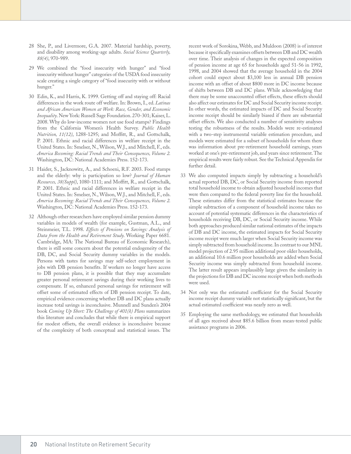- 28 She, P., and Livermore, G.A. 2007. Material hardship, poverty, and disability among working-age adults. *Social Science Quarterly, 88(4)*, 970-989.
- 29 We combined the "food insecurity with hunger" and "food insecurity without hunger" categories of the USDA food insecurity scale creating a single category of "food insecurity with or without hunger."
- 30 Edin, K., and Harris, K. 1999. Getting off and staying off: Racial differences in the work route off welfare. In: Brown, I., ed. *Latinas and African American Women at Work: Race, Gender, and Economic Inequality*. New York: Russell Sage Foundation. 270-301; Kaiser, L. 2008. Why do low-income women not use food stamps? Findings from the California Women's Health Survey. *Public Health Nutrition, 11(12)*, 1288-1295; and Moffitt, R., and Gottschalk, P. 2001. Ethnic and racial differences in welfare receipt in the United States. In: Smelser, N., Wilson, W.J., and Mitchell, F., eds. *America Becoming: Racial Trends and Their Consequences, Volume 2*. Washington, DC: National Academies Press. 152-173.
- 31 Haider, S., Jacknowitz, A., and Schoeni, R.F. 2003. Food stamps and the elderly: why is participation so low? *Journal of Human Resources, 38(Suppl)*, 1080-1111; and Moffitt, R., and Gottschalk, P. 2001. Ethnic and racial differences in welfare receipt in the United States. In: Smelser, N., Wilson, W.J., and Mitchell, F., eds. *America Becoming: Racial Trends and Their Consequences, Volume 2*. Washington, DC: National Academies Press. 152-173.
- 32 Although other researchers have employed similar pension dummy variables in models of wealth (for example, Gustman, A.L., and Steinmeier, T.L. 1998. *Effects of Pensions on Savings: Analysis of Data from the Health and Retirement Study*. Working Paper 6681. Cambridge, MA: The National Bureau of Economic Research), there is still some concern about the potential endogeneity of the DB, DC, and Social Security dummy variables in the models. Persons with tastes for savings may self-select employment in jobs with DB pension benefits. If workers no longer have access to DB pension plans, it is possible that they may accumulate greater personal retirement savings during their working lives to compensate. If so, enhanced personal savings for retirement will offset some of estimated effects of DB pension receipt. To date, empirical evidence concerning whether DB and DC plans actually increase total savings is inconclusive. Munnell and Sunden's 2004 book *Coming Up Short: The Challenge of 401(k) Plans* summarizes this literature and concludes that while there is empirical support for modest offsets, the overall evidence is inconclusive because of the complexity of both conceptual and statistical issues. The

recent work of Sorokina, Webb, and Muldoon (2008) is of interest because it specifically examines offsets between DB and DC wealth over time. Their analysis of changes in the expected composition of pension income at age 65 for households aged 51-56 in 1992, 1998, and 2004 showed that the average household in the 2004 cohort could expect about \$3,100 less in annual DB pension income with an offset of about \$800 more in DC income because of shifts between DB and DC plans. While acknowledging that there may be some unaccounted offset effects, these effects should also affect our estimates for DC and Social Security income receipt. In other words, the estimated impacts of DC and Social Security income receipt should be similarly biased if there are substantial offset effects. We also conducted a number of sensitivity analyses testing the robustness of the results. Models were re-estimated with a two-step instrumental variable estimation procedure, and models were estimated for a subset of households for whom there was information about pre-retirement household earnings, years worked at one's pre-retirement job, and years since retirement. The empirical results were fairly robust. See the Technical Appendix for further detail.

- 33 We also computed impacts simply by subtracting a household's actual reported DB, DC, or Social Security income from reported total household income to obtain adjusted household incomes that were then compared to the federal poverty line for the household. These estimates differ from the statistical estimates because the simple subtraction of a component of household income takes no account of potential systematic differences in the characteristics of households receiving DB, DC, or Social Security income. While both approaches produced similar national estimates of the impacts of DB and DC income, the estimated impacts for Social Security income receipt were much larger when Social Security income was simply subtracted from household income. In contrast to our MNL model projection of 2.95 million additional poor older households, an additional 10.6 million poor households are added when Social Security income was simply subtracted from household income. The latter result appears implausibly large given the similarity in the projections for DB and DC income receipt when both methods were used.
- 34 Not only was the estimated coefficient for the Social Security income receipt dummy variable not statistically significant, but the actual estimated coefficient was nearly zero as well.
- 35 Employing the same methodology, we estimated that households of all ages received about \$85.6 billion from mean-tested public assistance programs in 2006.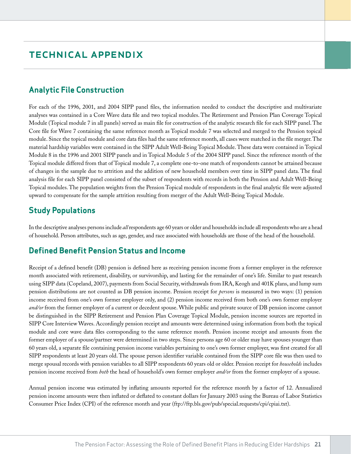# TECHNICAL APPENDIX

# **Analytic File Construction**

For each of the 1996, 2001, and 2004 SIPP panel files, the information needed to conduct the descriptive and multivariate analyses was contained in a Core Wave data file and two topical modules. The Retirement and Pension Plan Coverage Topical Module (Topical module 7 in all panels) served as main file for construction of the analytic research file for each SIPP panel. The Core file for Wave 7 containing the same reference month as Topical module 7 was selected and merged to the Pension topical module. Since the topical module and core data files had the same reference month, all cases were matched in the file merger. The material hardship variables were contained in the SIPP Adult Well-Being Topical Module. These data were contained in Topical Module 8 in the 1996 and 2001 SIPP panels and in Topical Module 5 of the 2004 SIPP panel. Since the reference month of the Topical module differed from that of Topical module 7, a complete one-to-one match of respondents cannot be attained because of changes in the sample due to attrition and the addition of new household members over time in SIPP panel data. The final analysis file for each SIPP panel consisted of the subset of respondents with records in both the Pension and Adult Well-Being Topical modules. The population weights from the Pension Topical module of respondents in the final analytic file were adjusted upward to compensate for the sample attrition resulting from merger of the Adult Well-Being Topical Module.

# **Study Populations**

In the descriptive analyses persons include *all* respondents age 60 years or older and households include all respondents who are a head of household. Person attributes, such as age, gender, and race associated with households are those of the head of the household.

# **Defined Benefit Pension Status and Income**

Receipt of a defined benefit (DB) pension is defined here as receiving pension income from a former employer in the reference month associated with retirement, disability, or survivorship, and lasting for the remainder of one's life. Similar to past research using SIPP data (Copeland, 2007), payments from Social Security, withdrawals from IRA, Keogh and 401K plans, and lump sum pension distributions are not counted as DB pension income. Pension receipt for *persons* is measured in two ways: (1) pension income received from one's own former employer only, and (2) pension income received from both one's own former employer *and/or* from the former employer of a current or decedent spouse. While public and private source of DB pension income cannot be distinguished in the SIPP Retirement and Pension Plan Coverage Topical Module, pension income sources are reported in SIPP Core Interview Waves. Accordingly pension receipt and amounts were determined using information from both the topical module and core wave data files corresponding to the same reference month. Pension income receipt and amounts from the former employer of a spouse/partner were determined in two steps. Since persons age 60 or older may have spouses younger than 60 years old, a separate file containing pension income variables pertaining to one's own former employer, was first created for all SIPP respondents at least 20 years old. The spouse person identifier variable contained from the SIPP core file was then used to merge spousal records with pension variables to all SIPP respondents 60 years old or older. Pension receipt for *households* includes pension income received from *both* the head of household's own former employer *and/or* from the former employer of a spouse.

Annual pension income was estimated by inflating amounts reported for the reference month by a factor of 12. Annualized pension income amounts were then inflated or deflated to constant dollars for January 2003 using the Bureau of Labor Statistics Consumer Price Index (CPI) of the reference month and year (ftp://ftp.bls.gov/pub/special.requests/cpi/cpiai.txt).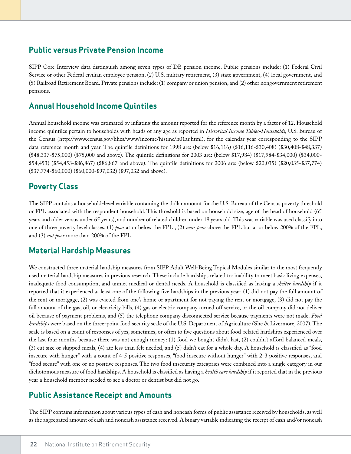# **Public versus Private Pension Income**

SIPP Core Interview data distinguish among seven types of DB pension income. Public pensions include: (1) Federal Civil Service or other Federal civilian employee pension, (2) U.S. military retirement, (3) state government, (4) local government, and (5) Railroad Retirement Board. Private pensions include: (1) company or union pension, and (2) other nongovernment retirement pensions.

# **Annual Household Income Quintiles**

Annual household income was estimated by inflating the amount reported for the reference month by a factor of 12. Household income quintiles pertain to households with heads of any age as reported in *Historical Income Tables-Households*, U.S. Bureau of the Census (http://www.census.gov/hhes/www/income/histinc/h01ar.html), for the calendar year corresponding to the SIPP data reference month and year. The quintile definitions for 1998 are: (below \$16,116) (\$16,116-\$30,408) (\$30,408-\$48,337) (\$48,337-\$75,000) (\$75,000 and above). The quintile definitions for 2003 are: (below \$17,984) (\$17,984-\$34,000) (\$34,000- \$54,453) (\$54,453-\$86,867) (\$86,867 and above). The quintile definitions for 2006 are: (below \$20,035) (\$20,035-\$37,774) (\$37,774-\$60,000) (\$60,000-\$97,032) (\$97,032 and above).

# **Poverty Class**

The SIPP contains a household-level variable containing the dollar amount for the U.S. Bureau of the Census poverty threshold or FPL associated with the respondent household. This threshold is based on household size, age of the head of household (65 years and older versus under 65 years), and number of related children under 18 years old. This was variable was used classify into one of three poverty level classes: (1) *poor* at or below the FPL , (2) *near poor* above the FPL but at or below 200% of the FPL, and (3) *not poor* more than 200% of the FPL.

## **Material Hardship Measures**

We constructed three material hardship measures from SIPP Adult Well-Being Topical Modules similar to the most frequently used material hardship measures in previous research. These include hardships related to: inability to meet basic living expenses, inadequate food consumption, and unmet medical or dental needs. A household is classified as having a *shelter hardship* if it reported that it experienced at least one of the following five hardships in the previous year: (1) did not pay the full amount of the rent or mortgage, (2) was evicted from one's home or apartment for not paying the rent or mortgage, (3) did not pay the full amount of the gas, oil, or electricity bills, (4) gas or electric company turned off service, or the oil company did not deliver oil because of payment problems, and (5) the telephone company disconnected service because payments were not made. *Food hardships* were based on the three-point food security scale of the U.S. Department of Agriculture (She & Livermore, 2007). The scale is based on a count of responses of yes, sometimes, or often to five questions about food-related hardships experienced over the last four months because there was not enough money: (1) food we bought didn't last, (2) couldn't afford balanced meals, (3) cut size or skipped meals, (4) ate less than felt needed, and (5) didn't eat for a whole day. A household is classified as "food insecure with hunger" with a count of 4-5 positive responses, "food insecure without hunger" with 2-3 positive responses, and "food secure" with one or no positive responses. The two food insecurity categories were combined into a single category in our dichotomous measure of food hardships. A household is classified as having a *health care hardship* if it reported that in the previous year a household member needed to see a doctor or dentist but did not go.

# **Public Assistance Receipt and Amounts**

The SIPP contains information about various types of cash and noncash forms of public assistance received by households, as well as the aggregated amount of cash and noncash assistance received. A binary variable indicating the receipt of cash and/or noncash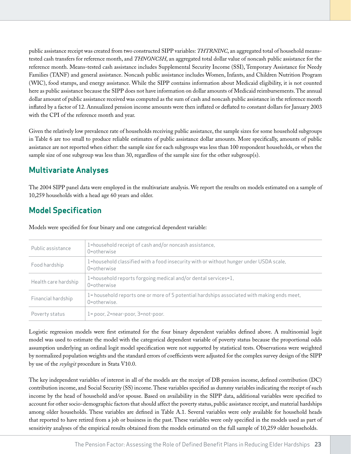public assistance receipt was created from two constructed SIPP variables: *THTRNINC*, an aggregated total of household meanstested cash transfers for reference month, and *THNONCSH*, an aggregated total dollar value of noncash public assistance for the reference month. Means-tested cash assistance includes Supplemental Security Income (SSI), Temporary Assistance for Needy Families (TANF) and general assistance. Noncash public assistance includes Women, Infants, and Children Nutrition Program (WIC), food stamps, and energy assistance. While the SIPP contains information about Medicaid eligibility, it is not counted here as public assistance because the SIPP does not have information on dollar amounts of Medicaid reimbursements. The annual dollar amount of public assistance received was computed as the sum of cash and noncash public assistance in the reference month inflated by a factor of 12. Annualized pension income amounts were then inflated or deflated to constant dollars for January 2003 with the CPI of the reference month and year.

Given the relatively low prevalence rate of households receiving public assistance, the sample sizes for some household subgroups in Table 6 are too small to produce reliable estimates of public assistance dollar amounts. More specifically, amounts of public assistance are not reported when either: the sample size for each subgroups was less than 100 respondent households, or when the sample size of one subgroup was less than 30, regardless of the sample size for the other subgroup(s).

# **Multivariate Analyses**

The 2004 SIPP panel data were employed in the multivariate analysis. We report the results on models estimated on a sample of 10,259 households with a head age 60 years and older.

# **Model Specification**

| Public assistance    | 1=household receipt of cash and/or noncash assistance,<br>$0 = otherwise$                                    |
|----------------------|--------------------------------------------------------------------------------------------------------------|
| Food hardship        | 1=household classified with a food insecurity with or without hunger under USDA scale,<br>$0 = otherwise$    |
| Health care hardship | 1=household reports forgoing medical and/or dental services=1,<br>$0 = otherwise$                            |
| Financial hardship   | 1 = household reports one or more of 5 potential hardships associated with making ends meet,<br>0=otherwise. |
| Poverty status       | $1 =$ poor, $2 =$ near-poor, $3 =$ not-poor.                                                                 |

Models were specified for four binary and one categorical dependent variable:

Logistic regression models were first estimated for the four binary dependent variables defined above. A multinomial logit model was used to estimate the model with the categorical dependent variable of poverty status because the proportional odds assumption underlying an ordinal logit model specification were not supported by statistical tests. Observations were weighted by normalized population weights and the standard errors of coefficients were adjusted for the complex survey design of the SIPP by use of the *svylogit* procedure in Stata V10.0.

The key independent variables of interest in all of the models are the receipt of DB pension income, defined contribution (DC) contribution income, and Social Security (SS) income. These variables specified as dummy variables indicating the receipt of such income by the head of household and/or spouse. Based on availability in the SIPP data, additional variables were specified to account for other socio-demographic factors that should affect the poverty status, public assistance receipt, and material hardships among older households. These variables are defined in Table A.1. Several variables were only available for household heads that reported to have retired from a job or business in the past. These variables were only specified in the models used as part of sensitivity analyses of the empirical results obtained from the models estimated on the full sample of 10,259 older households.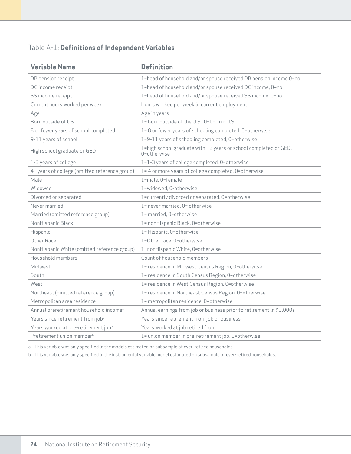#### Table A-1: Definitions of Independent Variables

| <b>Variable Name</b>                               | <b>Definition</b>                                                               |
|----------------------------------------------------|---------------------------------------------------------------------------------|
| DB pension receipt                                 | 1=head of household and/or spouse received DB pension income 0=no               |
| DC income receipt                                  | 1=head of household and/or spouse received DC income, 0=no                      |
| SS income receipt                                  | 1=head of household and/or spouse received SS income, 0=no                      |
| Current hours worked per week                      | Hours worked per week in current employment                                     |
| Age                                                | Age in years                                                                    |
| Born outside of US                                 | 1= born outside of the U.S., 0=born in U.S.                                     |
| 8 or fewer years of school completed               | 1=8 or fewer years of schooling completed, 0=otherwise                          |
| 9-11 years of school                               | 1=9-11 years of schooling completed, 0=otherwise                                |
| High school graduate or GED                        | 1=high school graduate with 12 years or school completed or GED,<br>O=otherwise |
| 1-3 years of college                               | 1=1-3 years of college completed, 0=otherwise                                   |
| 4+ years of college (omitted reference group)      | 1=4 or more years of college completed, 0=otherwise                             |
| Male                                               | 1=male.0=female                                                                 |
| Widowed                                            | 1=widowed, 0-otherwise                                                          |
| Divorced or separated                              | 1=currently divorced or separated, 0=otherwise                                  |
| Never married                                      | 1 = never married, 0 = otherwise                                                |
| Married (omitted reference group)                  | 1= married, 0=otherwise                                                         |
| NonHispanic Black                                  | 1= nonHispanic Black, 0=otherwise                                               |
| Hispanic                                           | 1= Hispanic, 0=otherwise                                                        |
| Other Race                                         | 1=Other race, 0=otherwise                                                       |
| NonHispanic White (omitted reference group)        | 1- nonHispanic White, 0=otherwise                                               |
| Household members                                  | Count of household members                                                      |
| Midwest                                            | 1 = residence in Midwest Census Region, 0 = otherwise                           |
| South                                              | 1= residence in South Census Region, 0=otherwise                                |
| West                                               | 1= residence in West Census Region, 0=otherwise                                 |
| Northeast (omitted reference group)                | 1= residence in Northeast Census Region, 0=otherwise                            |
| Metropolitan area residence                        | 1= metropolitan residence, 0=otherwise                                          |
| Annual preretirement household income <sup>a</sup> | Annual earnings from job or business prior to retirement in \$1,000s            |
| Years since retirement from job <sup>a</sup>       | Years since retirement from job or business                                     |
| Years worked at pre-retirement job <sup>a</sup>    | Years worked at job retired from                                                |
| Pretirement union member <sup>b</sup>              | 1= union member in pre-retirement job, 0=otherwise                              |

a This variable was only specified in the models estimated on subsample of ever-retired households.

b This variable was only specified in the instrumental variable model estimated on subsample of ever-retired households.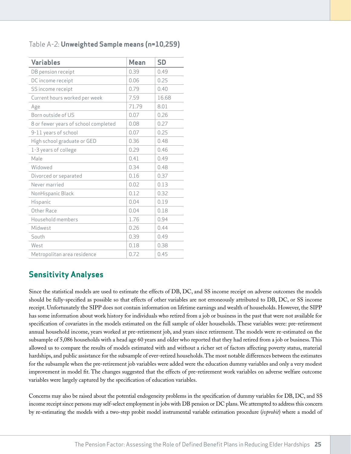#### Table A-2: **Unweighted Sample means (n=10,259)**

| <b>Variables</b>                     | <b>Mean</b> | <b>SD</b> |
|--------------------------------------|-------------|-----------|
| DB pension receipt                   | 0.39        | 0.49      |
| DC income receipt                    | 0.06        | 0.25      |
| SS income receipt                    | 0.79        | 0.40      |
| Current hours worked per week        | 7.59        | 16.68     |
| Age                                  | 71.79       | 8.01      |
| Born outside of US                   | 0.07        | 0.26      |
| 8 or fewer years of school completed | 0.08        | 0.27      |
| 9-11 years of school                 | 0.07        | 0.25      |
| High school graduate or GED          | 0.36        | 0.48      |
| 1-3 years of college                 | 0.29        | 0.46      |
| Male                                 | 0.41        | 0.49      |
| Widowed                              | 0.34        | 0.48      |
| Divorced or separated                | 0.16        | 0.37      |
| Never married                        | 0.02        | 0.13      |
| NonHispanic Black                    | 0.12        | 0.32      |
| Hispanic                             | 0.04        | 0.19      |
| Other Race                           | 0.04        | 0.18      |
| Household members                    | 1.76        | 0.94      |
| Midwest                              | 0.26        | 0.44      |
| South                                | 0.39        | 0.49      |
| West                                 | 0.18        | 0.38      |
| Metropolitan area residence          | 0.72        | 0.45      |

# **Sensitivity Analyses**

Since the statistical models are used to estimate the effects of DB, DC, and SS income receipt on adverse outcomes the models should be fully-specified as possible so that effects of other variables are not erroneously attributed to DB, DC, or SS income receipt. Unfortunately the SIPP does not contain information on lifetime earnings and wealth of households. However, the SIPP has some information about work history for individuals who retired from a job or business in the past that were not available for specification of covariates in the models estimated on the full sample of older households. These variables were: pre-retirement annual household income, years worked at pre-retirement job, and years since retirement. The models were re-estimated on the subsample of 5,086 households with a head age 60 years and older who reported that they had retired from a job or business. This allowed us to compare the results of models estimated with and without a richer set of factors affecting poverty status, material hardships, and public assistance for the subsample of ever-retired households. The most notable differences between the estimates for the subsample when the pre-retirement job variables were added were the education dummy variables and only a very modest improvement in model fit. The changes suggested that the effects of pre-retirement work variables on adverse welfare outcome variables were largely captured by the specification of education variables.

Concerns may also be raised about the potential endogeneity problems in the specification of dummy variables for DB, DC, and SS income receipt since persons may self-select employment in jobs with DB pension or DC plans. We attempted to address this concern by re-estimating the models with a two-step probit model instrumental variable estimation procedure (*ivprobit*) where a model of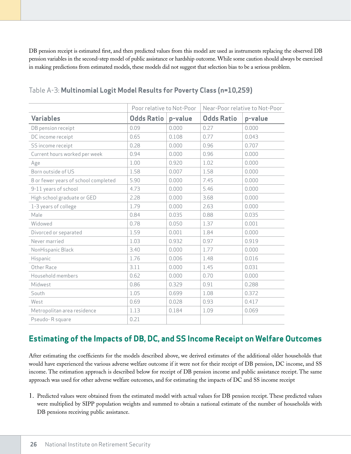DB pension receipt is estimated first, and then predicted values from this model are used as instruments replacing the observed DB pension variables in the second-step model of public assistance or hardship outcome. While some caution should always be exercised in making predictions from estimated models, these models did not suggest that selection bias to be a serious problem.

|                                      | Poor relative to Not-Poor |         | Near-Poor relative to Not-Poor |         |
|--------------------------------------|---------------------------|---------|--------------------------------|---------|
| <b>Variables</b>                     | <b>Odds Ratio</b>         | p-value | <b>Odds Ratio</b>              | p-value |
| DB pension receipt                   | 0.09                      | 0.000   | 0.27                           | 0.000   |
| DC income receipt                    | 0.65                      | 0.108   | 0.77                           | 0.043   |
| SS income receipt                    | 0.28                      | 0.000   | 0.96                           | 0.707   |
| Current hours worked per week        | 0.94                      | 0.000   | 0.96                           | 0.000   |
| Age                                  | 1.00                      | 0.920   | 1.02                           | 0.000   |
| Born outside of US                   | 1.58                      | 0.007   | 1.58                           | 0.000   |
| 8 or fewer years of school completed | 5.90                      | 0.000   | 7.45                           | 0.000   |
| 9-11 years of school                 | 4.73                      | 0.000   | 5.46                           | 0.000   |
| High school graduate or GED          | 2.28                      | 0.000   | 3.68                           | 0.000   |
| 1-3 years of college                 | 1.79                      | 0.000   | 2.63                           | 0.000   |
| Male                                 | 0.84                      | 0.035   | 0.88                           | 0.035   |
| Widowed                              | 0.78                      | 0.050   | 1.37                           | 0.001   |
| Divorced or separated                | 1.59                      | 0.001   | 1.84                           | 0.000   |
| Never married                        | 1.03                      | 0.932   | 0.97                           | 0.919   |
| NonHispanic Black                    | 3.40                      | 0.000   | 1.77                           | 0.000   |
| Hispanic                             | 1.76                      | 0.006   | 1.48                           | 0.016   |
| Other Race                           | 3.11                      | 0.000   | 1.45                           | 0.031   |
| Household members                    | 0.62                      | 0.000   | 0.70                           | 0.000   |
| Midwest                              | 0.86                      | 0.329   | 0.91                           | 0.288   |
| South                                | 1.05                      | 0.699   | 1.08                           | 0.372   |
| West                                 | 0.69                      | 0.028   | 0.93                           | 0.417   |
| Metropolitan area residence          | 1.13                      | 0.184   | 1.09                           | 0.069   |
| Pseudo-R square                      | 0.21                      |         |                                |         |

#### Table A-3: Multinomial Logit Model Results for Poverty Class (n=10,259)

# **Estimating of the Impacts of DB, DC, and SS Income Receipt on Welfare Outcomes**

After estimating the coefficients for the models described above, we derived estimates of the additional older households that would have experienced the various adverse welfare outcome if it were not for their receipt of DB pension, DC income, and SS income. The estimation approach is described below for receipt of DB pension income and public assistance receipt. The same approach was used for other adverse welfare outcomes, and for estimating the impacts of DC and SS income receipt

1. Predicted values were obtained from the estimated model with actual values for DB pension receipt. These predicted values were multiplied by SIPP population weights and summed to obtain a national estimate of the number of households with DB pensions receiving public assistance.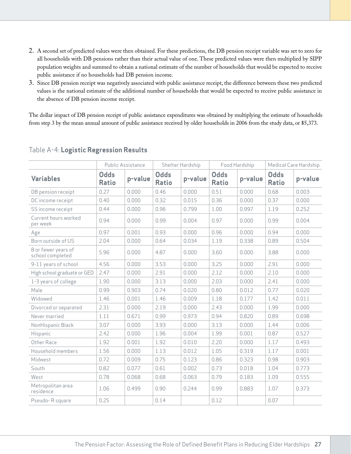- 2. A second set of predicted values were then obtained. For these predictions, the DB pension receipt variable was set to zero for all households with DB pensions rather than their actual value of one. These predicted values were then multiplied by SIPP population weights and summed to obtain a national estimate of the number of households that would be expected to receive public assistance if no households had DB pension income.
- 3. Since DB pension receipt was negatively associated with public assistance receipt, the difference between these two predicted values is the national estimate of the additional number of households that would be expected to receive public assistance in the absence of DB pension income receipt.

The dollar impact of DB pension receipt of public assistance expenditures was obtained by multiplying the estimate of households from step 3 by the mean annual amount of public assistance received by older households in 2006 from the study data, or \$5,373.

|                                         | <b>Public Assistance</b>    |         | Shelter Hardship            |         | Food Hardship               |         | Medical Care Hardship       |         |
|-----------------------------------------|-----------------------------|---------|-----------------------------|---------|-----------------------------|---------|-----------------------------|---------|
| <b>Variables</b>                        | <b>Odds</b><br><b>Ratio</b> | p-value | <b>Odds</b><br><b>Ratio</b> | p-value | <b>Odds</b><br><b>Ratio</b> | p-value | <b>Odds</b><br><b>Ratio</b> | p-value |
| DB pension receipt                      | 0.27                        | 0.000   | 0.46                        | 0.000   | 0.51                        | 0.000   | 0.68                        | 0.003   |
| DC income receipt                       | 0.40                        | 0.000   | 0.32                        | 0.015   | 0.36                        | 0.000   | 0.37                        | 0.000   |
| SS income receipt                       | 0.44                        | 0.000   | 0.96                        | 0.799   | 1.00                        | 0.997   | 1.19                        | 0.252   |
| Current hours worked<br>per week        | 0.94                        | 0.000   | 0.99                        | 0.004   | 0.97                        | 0.000   | 0.99                        | 0.004   |
| Age                                     | 0.97                        | 0.001   | 0.93                        | 0.000   | 0.96                        | 0.000   | 0.94                        | 0.000   |
| Born outside of US                      | 2.04                        | 0.000   | 0.64                        | 0.034   | 1.19                        | 0.338   | 0.89                        | 0.504   |
| 8 or fewer years of<br>school completed | 5.96                        | 0.000   | 4.87                        | 0.000   | 3.60                        | 0.000   | 3.88                        | 0.000   |
| 9-11 years of school                    | 4.56                        | 0.000   | 3.53                        | 0.000   | 3.25                        | 0.000   | 2.91                        | 0.000   |
| High school graduate or GED             | 2.47                        | 0.000   | 2.91                        | 0.000   | 2.12                        | 0.000   | 2.10                        | 0.000   |
| 1-3 years of college                    | 1.90                        | 0.000   | 3.13                        | 0.000   | 2.03                        | 0.000   | 2.41                        | 0.000   |
| Male                                    | 0.99                        | 0.903   | 0.74                        | 0.020   | 0.80                        | 0.012   | 0.77                        | 0.020   |
| Widowed                                 | 1.46                        | 0.001   | 1.46                        | 0.009   | 1.18                        | 0.177   | 1.42                        | 0.011   |
| Divorced or separated                   | 2.31                        | 0.000   | 2.19                        | 0.000   | 2.43                        | 0.000   | 1.99                        | 0.000   |
| Never married                           | 1.11                        | 0.671   | 0.99                        | 0.973   | 0.94                        | 0.820   | 0.89                        | 0.698   |
| NonHispanic Black                       | 3.07                        | 0.000   | 3.93                        | 0.000   | 3.13                        | 0.000   | 1.44                        | 0.006   |
| Hispanic                                | 2.42                        | 0.000   | 1.96                        | 0.004   | 1.99                        | 0.001   | 0.87                        | 0.527   |
| Other Race                              | 1.92                        | 0.001   | 1.92                        | 0.010   | 2.20                        | 0.000   | 1.17                        | 0.493   |
| Household members                       | 1.56                        | 0.000   | 1.13                        | 0.012   | 1.05                        | 0.319   | 1.17                        | 0.001   |
| Midwest                                 | 0.72                        | 0.009   | 0.75                        | 0.123   | 0.86                        | 0.323   | 0.98                        | 0.903   |
| South                                   | 0.82                        | 0.077   | 0.61                        | 0.002   | 0.73                        | 0.018   | 1.04                        | 0.773   |
| West                                    | 0.78                        | 0.068   | 0.68                        | 0.063   | 0.79                        | 0.183   | 1.09                        | 0.555   |
| Metropolitan area<br>residence          | 1.06                        | 0.499   | 0.90                        | 0.244   | 0.99                        | 0.883   | 1.07                        | 0.373   |
| Pseudo-R square                         | 0.25                        |         | 0.14                        |         | 0.12                        |         | 0.07                        |         |

#### Table A-4: Logistic Regression Results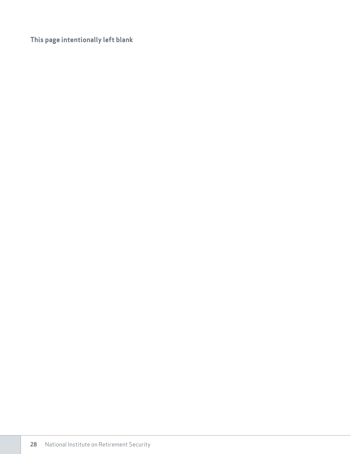This page intentionally left blank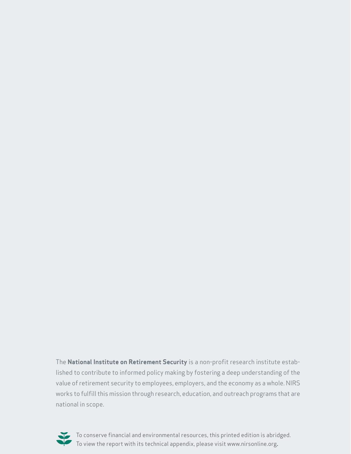The National Institute on Retirement Security is a non-profit research institute established to contribute to informed policy making by fostering a deep understanding of the value of retirement security to employees, employers, and the economy as a whole. NIRS works to fulfill this mission through research, education, and outreach programs that are national in scope.



To conserve financial and environmental resources, this printed edition is abridged.<br>To view the report with its technical appendix, please visit www.nirsonline.org.